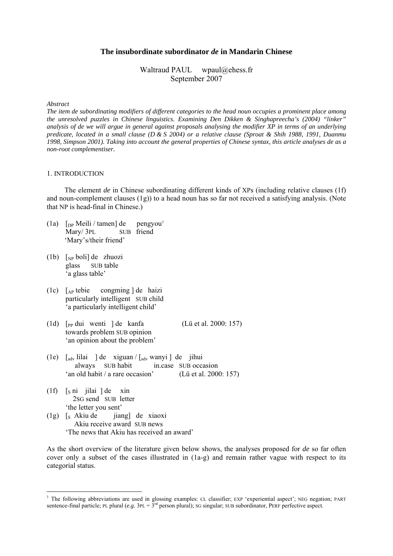# **The insubordinate subordinator** *de* **in Mandarin Chinese**

Waltraud PAUL wpaul@ehess.fr September 2007

#### *Abstract*

*The item de subordinating modifiers of different categories to the head noun occupies a prominent place among the unresolved puzzles in Chinese linguistics. Examining Den Dikken & Singhapreecha's (2004) "linker" analysis of de we will argue in general against proposals analysing the modifier XP in terms of an underlying predicate, located in a small clause (D & S 2004) or a relative clause (Sproat & Shih 1988, 1991, Duanmu 1998, Simpson 2001). Taking into account the general properties of Chinese syntax, this article analyses de as a non-root complementiser.* 

#### 1. INTRODUCTION

 The element *de* in Chinese subordinating different kinds of XPs (including relative clauses (1f) and noun-complement clauses (1g)) to a head noun has so far not received a satisfying analysis. (Note that NP is head-final in Chinese.)

- ([1](#page-0-0)a)  $\lceil$ <sub>DP</sub> Meili / tamen] de pengyou<sup>1</sup> Mary/3PL SUB friend 'Mary's/their friend'
- (1b) [NP boli] de zhuozi glass SUB table 'a glass table'
- (1c) [AP tebie congming ] de haizi particularly intelligent SUB child 'a particularly intelligent child'
- (1d)  $\lceil$ <sub>pp</sub> dui wenti  $\lceil$  de kanfa (Lü et al. 2000: 157) towards problem SUB opinion 'an opinion about the problem'
- (1e) [adv lilai ] de xiguan / [adv wanyi ] de jihui always SUB habit in.case SUB occasion 'an old habit / a rare occasion' (Lü et al. 2000: 157)
- $(1f)$  [s ni jilai ] de xin 2SG send SUB letter 'the letter you sent'

1

 $(1g)$  [s Akiu de jiang] de xiaoxi Akiu receive award SUB news 'The news that Akiu has received an award'

As the short overview of the literature given below shows, the analyses proposed for *de* so far often cover only a subset of the cases illustrated in (1a-g) and remain rather vague with respect to its categorial status.

<span id="page-0-0"></span><sup>&</sup>lt;sup>1</sup> The following abbreviations are used in glossing examples: CL classifier; EXP 'experiential aspect'; NEG negation; PART sentence-final particle; PL plural (*e.g.*  $3PL = 3<sup>rd</sup>$  person plural); SG singular; SUB subordinator, PERF perfective aspect.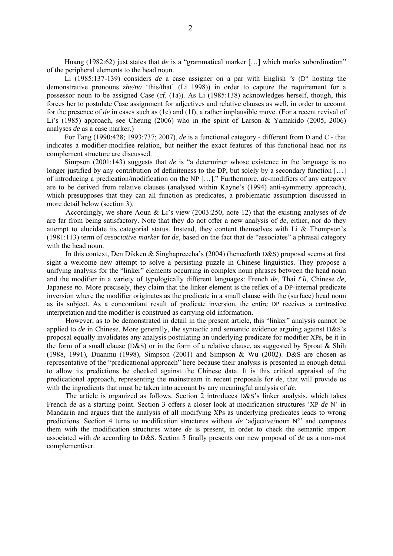Huang (1982:62) just states that *de* is a "grammatical marker [...] which marks subordination" of the peripheral elements to the head noun.

 Li (1985:137-139) considers *de* a case assigner on a par with English *'s* (D° hosting the demonstrative pronouns *zhe/na* 'this/that' (Li 1998)) in order to capture the requirement for a possessor noun to be assigned Case (*cf.* (1a)). As Li (1985:138) acknowledges herself, though, this forces her to postulate Case assignment for adjectives and relative clauses as well, in order to account for the presence of *de* in cases such as (1c) and (1f), a rather implausible move. (For a recent revival of Li's (1985) approach, see Cheung (2006) who in the spirit of Larson & Yamakido (2005, 2006) analyses *de* as a case marker.)

 For Tang (1990:428; 1993:737; 2007), *de* is a functional category - different from D and C - that indicates a modifier-modifiee relation, but neither the exact features of this functional head nor its complement structure are discussed.

 Simpson (2001:143) suggests that *de* is "a determiner whose existence in the language is no longer justified by any contribution of definiteness to the DP, but solely by a secondary function [...] of introducing a predication/modification on the NP […]." Furthermore, *de*-modifiers of any category are to be derived from relative clauses (analysed within Kayne's (1994) anti-symmetry approach), which presupposes that they can all function as predicates, a problematic assumption discussed in more detail below (section 3).

 Accordingly, we share Aoun & Li's view (2003:250, note 12) that the existing analyses of *de* are far from being satisfactory. Note that they do not offer a new analysis of *de*, either, nor do they attempt to elucidate its categorial status. Instead, they content themselves with Li & Thompson's (1981:113) term of *associative marker* for *de*, based on the fact that *de* "associates" a phrasal category with the head noun.

 In this context, Den Dikken & Singhapreecha's (2004) (henceforth D&S) proposal seems at first sight a welcome new attempt to solve a persisting puzzle in Chinese linguistics. They propose a unifying analysis for the "linker" elements occurring in complex noun phrases between the head noun and the modifier in a variety of typologically different languages: French *de*, Thai *t h îi*, Chinese *de*, Japanese *no*. More precisely, they claim that the linker element is the reflex of a DP-internal predicate inversion where the modifier originates as the predicate in a small clause with the (surface) head noun as its subject. As a concomitant result of predicate inversion, the entire DP receives a contrastive interpretation and the modifier is construed as carrying old information.

 However, as to be demonstrated in detail in the present article, this "linker" analysis cannot be applied to *de* in Chinese. More generally, the syntactic and semantic evidence arguing against D&S's proposal equally invalidates any analysis postulating an underlying predicate for modifier XPs, be it in the form of a small clause (D&S) or in the form of a relative clause, as suggested by Sproat & Shih (1988, 1991), Duanmu (1998), Simpson (2001) and Simpson & Wu (2002). D&S are chosen as representative of the "predicational approach" here because their analysis is presented in enough detail to allow its predictions be checked against the Chinese data. It is this critical appraisal of the predicational approach, representing the mainstream in recent proposals for *de*, that will provide us with the ingredients that must be taken into account by any meaningful analysis of *de*.

 The article is organized as follows. Section 2 introduces D&S's linker analysis, which takes French *de* as a starting point. Section 3 offers a closer look at modification structures 'XP *de* N' in Mandarin and argues that the analysis of all modifying XPs as underlying predicates leads to wrong predictions. Section 4 turns to modification structures without *de* 'adjective/noun N°' and compares them with the modification structures where *de* is present, in order to check the semantic import associated with *de* according to D&S. Section 5 finally presents our new proposal of *de* as a non-root complementiser.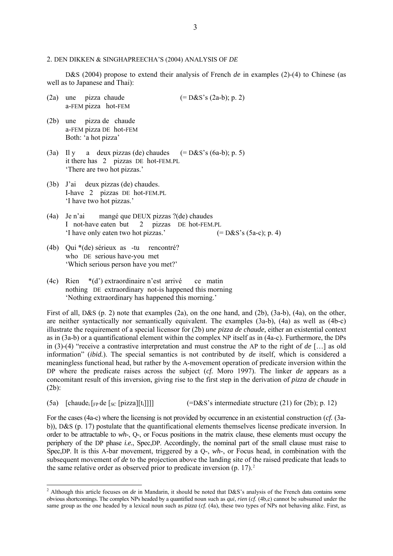#### 2. DEN DIKKEN & SINGHAPREECHA'S (2004) ANALYSIS OF *DE*

D&S (2004) propose to extend their analysis of French *de* in examples (2)-(4) to Chinese (as well as to Japanese and Thai):

- (2a) une pizza chaude  $(=\text{D&S's (2a-b); p. 2)}$ a-FEM pizza hot-FEM
- (2b) une pizza de chaude a-FEM pizza DE hot-FEM Both: 'a hot pizza'
- (3a) Il y a deux pizzas (de) chaudes  $(= D&S's (6a-b); p. 5)$  it there has 2 pizzas DE hot-FEM.PL 'There are two hot pizzas.'
- (3b) J'ai deux pizzas (de) chaudes. I-have 2 pizzas DE hot-FEM.PL 'I have two hot pizzas.'
- (4a) Je n'ai mangé que DEUX pizzas ?(de) chaudes I not-have eaten but 2 pizzas DE hot-FEM.PL 'I have only eaten two hot pizzas.'  $(= D&S's (5a-c); p. 4)$
- (4b) Qui \*(de) sérieux as -tu rencontré? who DE serious have-you met 'Which serious person have you met?'
- (4c) Rien \*(d') extraordinaire n'est arrivé ce matin nothing DE extraordinary not-is happened this morning 'Nothing extraordinary has happened this morning.'

First of all, D&S (p. 2) note that examples (2a), on the one hand, and (2b), (3a-b), (4a), on the other, are neither syntactically nor semantically equivalent. The examples (3a-b), (4a) as well as (4b-c) illustrate the requirement of a special licensor for (2b) *une pizza de chaude*, either an existential context as in (3a-b) or a quantificational element within the complex NP itself as in (4a-c). Furthermore, the DPs in (3)-(4) "receive a contrastive interpretation and must construe the AP to the right of *de* […] as old information" (*ibid.*). The special semantics is not contributed by *de* itself, which is considered a meaningless functional head, but rather by the A-movement operation of predicate inversion within the DP where the predicate raises across the subject (*cf.* Moro 1997). The linker *de* appears as a concomitant result of this inversion, giving rise to the first step in the derivation of *pizza de chaude* in (2b):

(5a) [chaude;  $\lceil \frac{F}{2} \rceil$  de  $\lceil \frac{S}{2} \rceil$  [pizza][ti]]] (=D&S's intermediate structure (21) for (2b); p. 12)

For the cases (4a-c) where the licensing is not provided by occurrence in an existential construction (*cf.* (3ab)), D&S (p. 17) postulate that the quantificational elements themselves license predicate inversion. In order to be attractable to *wh*-, Q-, or Focus positions in the matrix clause, these elements must occupy the periphery of the DP phase *i.e.*, Spec,DP. Accordingly, the nominal part of the small clause must raise to Spec,DP. It is this A-bar movement, triggered by a Q-, *wh*-, or Focus head, in combination with the subsequent movement of *de* to the projection above the landing site of the raised predicate that leads to the same relative order as observed prior to predicate inversion  $(p, 17)$ .<sup>[2](#page-2-0)</sup>

<span id="page-2-0"></span><sup>&</sup>lt;sup>2</sup> Although this article focuses on *de* in Mandarin, it should be noted that D&S's analysis of the French data contains some obvious shortcomings. The complex NPs headed by a quantified noun such as *qui*, *rien* (*cf.* (4b,c) cannot be subsumed under the same group as the one headed by a lexical noun such as *pizza* (*cf.* (4a), these two types of NPs not behaving alike. First, as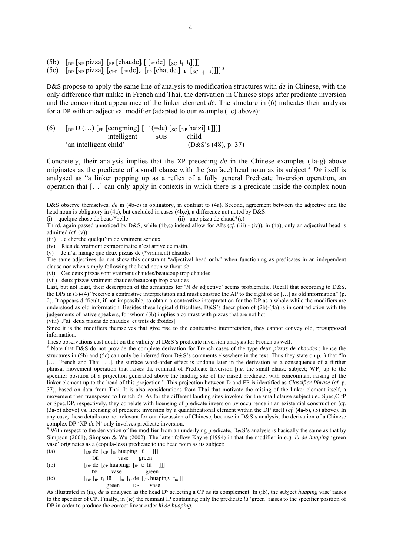- (5b)  $\lceil \frac{D}{2} \rceil$  [DP  $\lceil \frac{N}{2} \rceil$  pizza]<sub>i</sub>  $\lceil \frac{F}{2} \rceil$  [chaude]<sub>i</sub>  $\lceil \frac{F}{2} \rceil$  de]  $\lceil \frac{S}{2} \rceil$  t<sub>i</sub> t<sub>i</sub>]]]
- (5c)  $\left[\text{DP}\left[\text{NP}\right] \text{pizzal}\right]$   $\left[\text{CHP}\left[\text{F}^{\circ} \text{de}\right] \text{k} \left[\text{FP}\left[\text{chaude}_{i}\right] \text{t}_{k} \left[\text{S} \text{C} \text{t}_{i} \text{t}_{i}\right]\right]\right] \right]$ <sup>[3](#page-3-0)</sup>

D&S propose to apply the same line of analysis to modification structures with *de* in Chinese, with the only difference that unlike in French and Thai, the derivation in Chinese stops after predicate inversion and the concomitant appearance of the linker element *de*. The structure in (6) indicates their analysis for a DP with an adjectival modifier (adapted to our example (1c) above):

(6)  $\left[ \int_{\text{DP}} D \dots \right] \left[ \int_{\text{FP}} \left[ \text{cong} \right] \right] \left[ \int_{\text{SP}} \left[ \text{Eq} \right] \left[ \text{Eq} \left[ \text{NP} \right] \right] \right] \right]$  intelligent SUB child 'an intelligent child' (D&S's (48), p. 37)

Concretely, their analysis implies that the XP preceding *de* in the Chinese examples (1a-g) above originates as the predicate of a small clause with the (surface) head noun as its subject.[4](#page-3-1) *De* itself is analysed as "a linker popping up as a reflex of a fully general Predicate Inversion operation, an operation that […] can only apply in contexts in which there is a predicate inside the complex noun

(i) quelque chose de beau/\*belle  $(i)$  une pizza de chaud\*(e)

<u>.</u>

(viii) J'ai deux pizzas de chaudes [et trois de froides]

Since it is the modifiers themselves that give rise to the contrastive interpretation, they cannot convey old, presupposed information.

These observations cast doubt on the validity of D&S's predicate inversion analysis for French as well.

<span id="page-3-0"></span> Note that D&S do not provide the complete derivation for French cases of the type *deux pizzas de chaudes* ; hence the structures in (5b) and (5c) can only be inferred from D&S's comments elsewhere in the text. Thus they state on p. 3 that "In [...] French and Thai [...], the surface word-order effect is undone later in the derivation as a consequence of a further phrasal movement operation that raises the remnant of Predicate Inversion [*i.e.* the small clause subject; WP] up to the specifier position of a projection generated above the landing site of the raised predicate, with concomitant raising of the linker element up to the head of this projection." This projection between D and FP is identified as *Classifier Phrase* (*cf.* p. 37), based on data from Thai. It is also considerations from Thai that motivate the raising of the linker element itself, a movement then transposed to French *de*. As for the different landing sites invoked for the small clause subject *i.e.*, Spec,ClfP or Spec,DP, respectively, they correlate with licensing of predicate inversion by occurrence in an existential construction (*cf.*  (3a-b) above) vs. licensing of predicate inversion by a quantificational element within the DP itself (*cf.* (4a-b), (5) above). In any case, these details are not relevant for our discussion of Chinese, because in D&S's analysis, the derivation of a Chinese complex DP 'XP *de* N' only involves predicate inversion.

<span id="page-3-1"></span> $4$  With respect to the derivation of the modifier from an underlying predicate, D&S's analysis is basically the same as that by Simpson (2001), Simpson & Wu (2002). The latter follow Kayne (1994) in that the modifier in *e.g. lü de huaping* 'green vase' originates as a (copula-less) predicate to the head noun as its subject:

(ia)  $\begin{bmatrix} \text{Dp} & \text{de} & \text{Lp} & \text{Im} & \text{Im} & \text{Im} \\ \text{DE} & \text{Vase} & \text{green} & \text{green} \end{bmatrix}$ DE vase green

(ib)  $\begin{bmatrix} \text{DP} & \text{de} & \text{[CP} & \text{huaping}_i & \text{[IP} & \text{t}_i & \text{li} \\ \text{DP} & & \text{vase} & & \text{green} \end{bmatrix}$ green

$$
\begin{array}{ll}\n\text{(ic)} & \begin{bmatrix} \text{[p]} & \text{[p]} & \text{[p]} & \text{[p]} & \text{[p]} & \text{[p]} & \text{[p]} & \text{[p]} & \text{[p]} & \text{[p]} & \text{[p]} & \text{[p]} & \text{[p]} & \text{[p]} & \text{[p]} & \text{[p]} & \text{[p]} & \text{[p]} & \text{[p]} & \text{[p]} & \text{[p]} & \text{[p]} & \text{[p]} & \text{[p]} & \text{[p]} & \text{[p]} & \text{[p]} & \text{[p]} & \text{[p]} & \text{[p]} & \text{[p]} & \text{[p]} & \text{[p]} & \text{[p]} & \text{[p]} & \text{[p]} & \text{[p]} & \text{[p]} & \text{[p]} & \text{[p]} & \text{[p]} & \text{[p]} & \text{[p]} & \text{[p]} & \text{[p]} & \text{[p]} & \text{[p]} & \text{[p]} & \text{[p]} & \text{[p]} & \text{[p]} & \text{[p]} & \text{[p]} & \text{[p]} & \text{[p]} & \text{[p]} & \text{[p]} & \text{[p]} & \text{[p]} & \text{[p]} & \text{[p]} & \text{[p]} & \text{[p]} & \text{[p]} & \text{[p]} & \text{[p]} & \text{[p]} & \text{[p]} & \text{[p]} & \text{[p]} & \text{[p]} & \text{[p]} & \text{[p]} & \text{[p]} & \text{[p]} & \text{[p]} & \text{[p]} & \text{[p]} & \text{[p]} & \text{[p]} & \text{[p]} & \text{[p]} & \text{[p]} & \text{[p]} & \text{[p]} & \text{[p]} & \text{[p]} & \text{[p]} & \text{[p]} & \text{[p]} & \text{[p]} & \text{[p]} & \text{[p]} & \text{[p]} & \text{[p]} & \text{[p]} & \text{[p]} & \text{[p]} & \text{[p]} & \text{[p]} & \text{[p]} & \text{[p]} & \text{[p]} & \text{[p]} & \text{[p]} & \text{[p
$$

As illustrated in (ia), *de* is analysed as the head D° selecting a CP as its complement. In (ib), the subject *huaping* vase' raises to the specifier of CP. Finally, in (ic) the remnant IP containing only the predicate *lü* 'green' raises to the specifier position of DP in order to produce the correct linear order *lü de huaping*.

D&S observe themselves, *de* in (4b-c) is obligatory, in contrast to (4a). Second, agreement between the adjective and the head noun is obligatory in (4a), but excluded in cases (4b,c), a difference not noted by D&S:

Third, again passed unnoticed by D&S, while (4b,c) indeed allow for APs (*cf.* (iii) - (iv)), in (4a), only an adjectival head is admitted (*cf.* (v)):

<sup>(</sup>iii) Je cherche quelqu'un de vraiment sérieux

<sup>(</sup>iv) Rien de vraiment extraordinaire n'est arrivé ce matin.

<sup>(</sup>v) Je n'ai mangé que deux pizzas de (\*vraiment) chaudes

The same adjectives do not show this constraint "adjectival head only" when functioning as predicates in an independent clause nor when simply following the head noun without *de*:

<sup>(</sup>vi) Ces deux pizzas sont vraiment chaudes/beaucoup trop chaudes

<sup>(</sup>vii) deux pizzas vraiment chaudes/beaucoup trop chaudes

Last, but not least, their description of the semantics for 'N *de* adjective' seems problematic. Recall that according to D&S, the DPs in (3)-(4) "receive a contrastive interpretation and must construe the AP to the right of *de* […] as old information" (p. 2). It appears difficult, if not impossible, to obtain a contrastive interpretation for the DP as a whole while the modifiers are understood as old information. Besides these logical difficulties, D&S's description of (2b)-(4a) is in contradiction with the judgements of native speakers, for whom (3b) implies a contrast with pizzas that are not hot: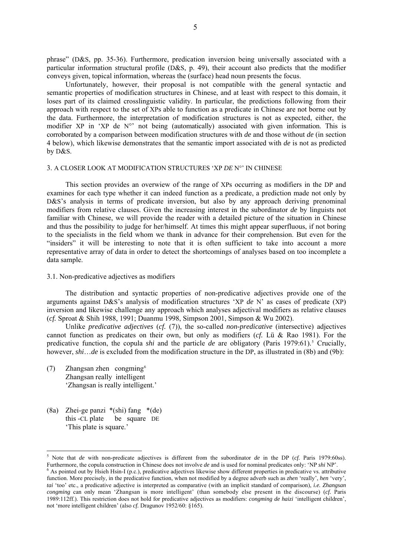phrase" (D&S, pp. 35-36). Furthermore, predication inversion being universally associated with a particular information structural profile (D&S, p. 49), their account also predicts that the modifier conveys given, topical information, whereas the (surface) head noun presents the focus.

 Unfortunately, however, their proposal is not compatible with the general syntactic and semantic properties of modification structures in Chinese, and at least with respect to this domain, it loses part of its claimed crosslinguistic validity. In particular, the predictions following from their approach with respect to the set of XPs able to function as a predicate in Chinese are not borne out by the data. Furthermore, the interpretation of modification structures is not as expected, either, the modifier XP in 'XP de N°' not being (automatically) associated with given information. This is corroborated by a comparison between modification structures with *de* and those without *de* (in section 4 below), which likewise demonstrates that the semantic import associated with *de* is not as predicted by D&S.

#### 3. A CLOSER LOOK AT MODIFICATION STRUCTURES 'XP *DE* N°' IN CHINESE

 This section provides an overwiew of the range of XPs occurring as modifiers in the DP and examines for each type whether it can indeed function as a predicate, a prediction made not only by D&S's analysis in terms of predicate inversion, but also by any approach deriving prenominal modifiers from relative clauses. Given the increasing interest in the subordinator *de* by linguists not familiar with Chinese, we will provide the reader with a detailed picture of the situation in Chinese and thus the possibility to judge for her/himself. At times this might appear superfluous, if not boring to the specialists in the field whom we thank in advance for their comprehension. But even for the "insiders" it will be interesting to note that it is often sufficient to take into account a more representative array of data in order to detect the shortcomings of analyses based on too incomplete a data sample.

#### 3.1. Non-predicative adjectives as modifiers

 The distribution and syntactic properties of non-predicative adjectives provide one of the arguments against D&S's analysis of modification structures 'XP *de* N' as cases of predicate (XP) inversion and likewise challenge any approach which analyses adjectival modifiers as relative clauses (*cf.* Sproat & Shih 1988, 1991; Duanmu 1998, Simpson 2001, Simpson & Wu 2002).

 Unlike *predicative adjectives* (*cf.* (7)), the so-called *non-predicative* (intersective) adjectives cannot function as predicates on their own, but only as modifiers (*cf.* Lü & Rao 1981). For the predicative function, the copula *shi* and the particle *de* are obligatory (Paris 1979:61).<sup>[5](#page-4-0)</sup> Crucially, however, *shi*…*de* is excluded from the modification structure in the DP, as illustrated in (8b) and (9b):

- (7) Zhangsan zhen congming $6$ Zhangsan really intelligent 'Zhangsan is really intelligent.'
- (8a) Zhei-ge panzi \*(shi) fang \*(de) this -CL plate be square DE 'This plate is square.'

1

<span id="page-4-0"></span>5 Note that *de* with non-predicate adjectives is different from the subordinator *de* in the DP (*cf.* Paris 1979:60ss). Furthermore, the copula construction in Chinese does not involve *de* and is used for nominal predicates only: 'NP *shi* NP'.

<span id="page-4-1"></span> $6$  As pointed out by Hsieh Hsin-I (p.c.), predicative adjectives likewise show different properties in predicative vs. attributive function. More precisely, in the predicative function, when not modified by a degree adverb such as *zhen* 'really', *hen* 'very', *tai* 'too' etc., a predicative adjective is interpreted as comparative (with an implicit standard of comparison), *i.e. Zhangsan congming* can only mean 'Zhangsan is more intelligent' (than somebody else present in the discourse) (*cf.* Paris 1989:112ff.). This restriction does not hold for predicative adjectives as modifiers: *congming de haizi* 'intelligent children', not 'more intelligent children' (also *cf.* Dragunov 1952/60: §165).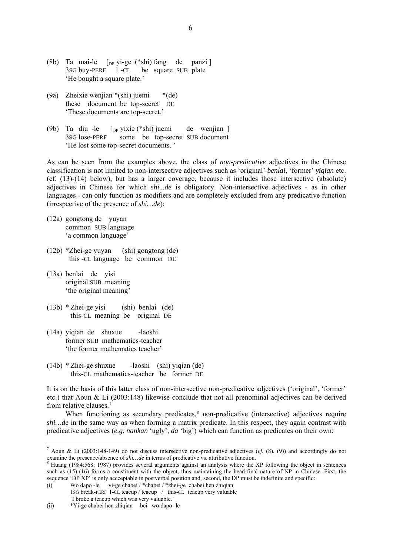- (8b) Ta mai-le  $\lceil p \text{yi-ge}(\text{*shi})$  fang de panzi ] 3SG buy-PERF 1 -CL be square SUB plate 'He bought a square plate.'
- (9a) Zheixie wenjian \*(shi) juemi \*(de) these document be top-secret DE 'These documents are top-secret.'
- (9b) Ta diu -le [DP yixie (\*shi) juemi de wenjian ] 3SG lose-PERF some be top-secret SUB document 'He lost some top-secret documents. '

As can be seen from the examples above, the class of *non-predicative* adjectives in the Chinese classification is not limited to non-intersective adjectives such as 'original' *benlai*, 'former' *yiqian* etc. (cf. (13)-(14) below), but has a larger coverage, because it includes those intersective (absolute) adjectives in Chinese for which *shi...de* is obligatory. Non-intersective adjectives - as in other languages - can only function as modifiers and are completely excluded from any predicative function (irrespective of the presence of *shi…de*):

- (12a) gongtong de yuyan common SUB language 'a common language'
- (12b) \*Zhei-ge yuyan (shi) gongtong (de) this -CL language be common DE
- (13a) benlai de yisi original SUB meaning 'the original meaning'

<u>.</u>

- (13b) \* Zhei-ge yisi (shi) benlai (de) this-CL meaning be original DE
- (14a) yiqian de shuxue -laoshi former SUB mathematics-teacher 'the former mathematics teacher'
- (14b) \* Zhei-ge shuxue -laoshi (shi) yiqian (de) this-CL mathematics-teacher be former DE

It is on the basis of this latter class of non-intersective non-predicative adjectives ('original', 'former' etc.) that Aoun & Li (2003:148) likewise conclude that not all prenominal adjectives can be derived from relative clauses.[7](#page-5-0)

When functioning as secondary predicates,<sup>[8](#page-5-1)</sup> non-predicative (intersective) adjectives require *shi…de* in the same way as when forming a matrix predicate. In this respect, they again contrast with predicative adjectives (*e.g. nankan* 'ugly', *da* 'big') which can function as predicates on their own:

<span id="page-5-0"></span><sup>&</sup>lt;sup>7</sup> Aoun & Li (2003:148-149) do not discuss intersective non-predicative adjectives (*cf.* (8), (9)) and accordingly do not examine the presence/absence of *shi...de* in terms of predicative vs. attributive function.

<span id="page-5-1"></span> ${}^{8}$  Huang (1984:568; 1987) provides several arguments against an analysis where the XP following the object in sentences such as (15)-(16) forms a constituent with the object, thus maintaining the head-final nature of NP in Chinese. First, the sequence 'DP XP' is only accceptable in postverbal position and, second, the DP must be indefinite and specific:

<sup>(</sup>i) Wo dapo -le yi-ge chabei / \*chabei / \*zhei-ge chabei hen zhiqian 1SG break-PERF 1-CL teacup / teacup / this-CL teacup very valuable 'I broke a teacup which was very valuable.'

<sup>(</sup>ii) \*Yi-ge chabei hen zhiqian bei wo dapo -le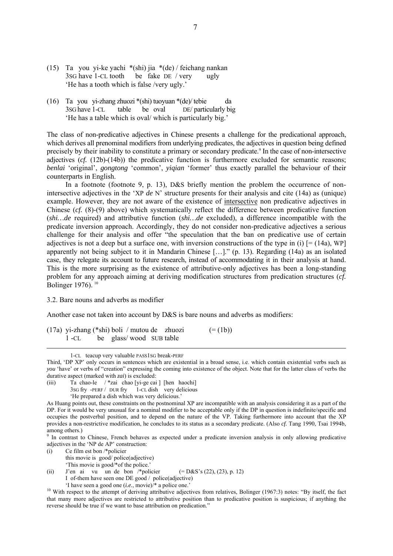- (15) Ta you yi-ke yachi \*(shi) jia \*(de) / feichang nankan 3SG have 1-CL tooth be fake DE / very ugly 'He has a tooth which is false /very ugly.'
- (16) Ta you yi-zhang zhuozi \*(shi) tuoyuan \*(de)/ tebie da 3SG have 1-CL table be oval DE/ particularly big 'He has a table which is oval/ which is particularly big.'

The class of non-predicative adjectives in Chinese presents a challenge for the predicational approach, which derives all prenominal modifiers from underlying predicates, the adjectives in question being defined precisely by their inability to constitute a primary or secondary predicate.<sup>9</sup> In the case of non-intersective adjectives (*cf.* (12b)-(14b)) the predicative function is furthermore excluded for semantic reasons; *benlai* 'original', *gongtong* 'common', *yiqian* 'former' thus exactly parallel the behaviour of their counterparts in English.

 In a footnote (footnote 9, p. 13), D&S briefly mention the problem the occurrence of nonintersective adjectives in the 'XP *de* N' structure presents for their analysis and cite (14a) as (unique) example. However, they are not aware of the existence of intersective non predicative adjectives in Chinese (*cf.* (8)-(9) above) which systematically reflect the difference between predicative function (*shi…de* required) and attributive function (*shi…de* excluded), a difference incompatible with the predicate inversion approach. Accordingly, they do not consider non-predicative adjectives a serious challenge for their analysis and offer "the speculation that the ban on predicative use of certain adjectives is not a deep but a surface one, with inversion constructions of the type in (i)  $[=(14a)$ , WP] apparently not being subject to it in Mandarin Chinese […]." (p. 13). Regarding (14a) as an isolated case, they relegate its account to future research, instead of accommodating it in their analysis at hand. This is the more surprising as the existence of attributive-only adjectives has been a long-standing problem for any approach aiming at deriving modification structures from predication structures (*cf.* Bolinger 1976).<sup>[10](#page-6-1)</sup>

### 3.2. Bare nouns and adverbs as modifier

Another case not taken into account by D&S is bare nouns and adverbs as modifiers:

(17a) yi-zhang (\*shi) boli / mutou de zhuozi  $(=(1b))$ 1 -CL be glass/ wood SUB table

- (iii) Ta chao-le / \*zai chao [yi-ge cai ] [hen haochi]
	- 3sG fry -PERF / DUR fry 1-CL dish very delicious
		- 'He prepared a dish which was very delicious.'

- (i) Ce film est bon /\*policier
	- this movie is good/ police(adjective) 'This movie is good/\*of the police.'
- (ii) J'en ai vu un de bon /\*policier (=  $D&S$ 's (22), (23), p. 12)
	- I of-them have seen one DE good / police(adjective)

 <sup>1-</sup>CL teacup very valuable PASS1SG break-PERF

Third, 'DP XP' only occurs in sentences which are existential in a broad sense, i.e. which contain existential verbs such as *you* 'have' or verbs of "creation" expressing the coming into existence of the object. Note that for the latter class of verbs the durative aspect (marked with *zai*) is excluded:

As Huang points out, these constraints on the postnominal XP are incompatible with an analysis considering it as a part of the DP. For it would be very unusual for a nominal modifier to be acceptable only if the DP in question is indefinite/specific and occupies the postverbal position, and to depend on the nature of the VP. Taking furthermore into account that the XP provides a non-restrictive modification, he concludes to its status as a secondary predicate. (Also *cf.* Tang 1990, Tsai 1994b, among others.)<br><sup>9</sup> In contrast to Chinese, French behaves as expected under a predicate inversion analysis in only allowing predicative

<span id="page-6-0"></span>adjectives in the 'NP de AP' construction:

<span id="page-6-1"></span><sup>&</sup>lt;sup>10</sup> With respect to the attempt of deriving attributive adjectives from relatives, Bolinger (1967:3) notes: "By itself, the fact <sup>10</sup> that many more adjectives are restricted to attributive position than to predicative position is suspicious; if anything the reverse should be true if we want to base attribution on predication."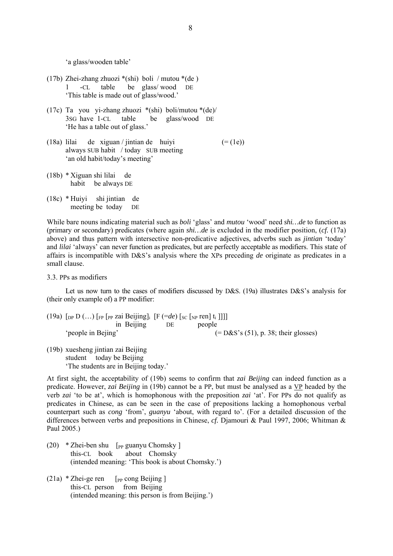'a glass/wooden table'

- (17b) Zhei-zhang zhuozi \*(shi) boli / mutou \*(de ) 1 -CL table be glass/ wood DE 'This table is made out of glass/wood.'
- (17c) Ta you yi-zhang zhuozi \*(shi) boli/mutou \*(de)/ 3SG have 1-CL table be glass/wood DE 'He has a table out of glass.'
- (18a) lilai de xiguan / jintian de huiyi  $(=(1e))$  always SUB habit / today SUB meeting 'an old habit/today's meeting'
- (18b) \* Xiguan shi lilai de habit be always DE
- (18c) \* Huiyi shi jintian de meeting be today DE

While bare nouns indicating material such as *boli* 'glass' and *mutou* 'wood' need *shi…de* to function as (primary or secondary) predicates (where again *shi…de* is excluded in the modifier position, (*cf.* (17a) above) and thus pattern with intersective non-predicative adjectives, adverbs such as *jintian* 'today' and *lilai* 'always' can never function as predicates, but are perfectly acceptable as modifiers. This state of affairs is incompatible with D&S's analysis where the XPs preceding *de* originate as predicates in a small clause.

3.3. PPs as modifiers

Let us now turn to the cases of modifiers discussed by D&S. (19a) illustrates D&S's analysis for (their only example of) a PP modifier:

(19a)  $\lceil_{DP} D$  (...)  $\lceil_{FP} \lceil_{PP} Zai$  Beijing]<sub>i</sub>  $\lceil F (=de) \lceil_{SC} \lceil_{NP} ren \rceil t_i \rceil \rceil$  in Beijing DE people 'people in Bejing' (= D&S's (51), p. 38; their glosses)

(19b) xuesheng jintian zai Beijing student today be Beijing 'The students are in Beijing today.'

At first sight, the acceptability of (19b) seems to confirm that *zai Beijing* can indeed function as a predicate. However, *zai Beijing* in (19b) cannot be a PP, but must be analysed as a VP headed by the verb *zai* 'to be at', which is homophonous with the preposition *zai* 'at'. For PPs do not qualify as predicates in Chinese, as can be seen in the case of prepositions lacking a homophonous verbal counterpart such as *cong* 'from', *guanyu* 'about, with regard to'. (For a detailed discussion of the differences between verbs and prepositions in Chinese, *cf.* Djamouri & Paul 1997, 2006; Whitman & Paul 2005.)

- (20)  $*$  Zhei-ben shu [<sub>PP</sub> guanyu Chomsky] this-CL book about Chomsky (intended meaning: 'This book is about Chomsky.')
- $(21a) * Z$ hei-ge ren [<sub>PP</sub> cong Beijing ] this-CL person from Beijing (intended meaning: this person is from Beijing.')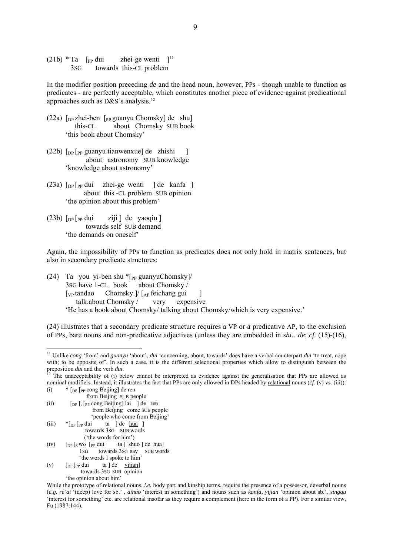$(21b)$  \* Ta [<sub>PP</sub> dui zhei-ge wenti ]<sup>[11](#page-8-0)</sup> 3SG towards this-CL problem

In the modifier position preceding *de* and the head noun, however, PPs - though unable to function as predicates - are perfectly acceptable, which constitutes another piece of evidence against predicational approaches such as D&S's analysis.[12](#page-8-1)

- (22a)  $\lceil_{DP}$  zhei-ben  $\lceil_{PP}$  guanyu Chomsky] de shu] this-CL about Chomsky SUB book 'this book about Chomsky'
- (22b)  $\lceil_{\text{DP}} \rceil_{\text{PP}}$  guanyu tianwenxue] de zhishi ] about astronomy SUB knowledge 'knowledge about astronomy'
- $(23a)$   $\lceil_{DP} \rceil_{PP}$  dui zhei-ge wenti  $\lceil_{DP} \rceil$  de kanfa  $\lceil_{DP} \rceil$  about this -CL problem SUB opinion 'the opinion about this problem'
- $(23b)$   $\lceil_{\text{DP}} \rceil$  pp dui ziji  $\lceil$  de yaoqiu  $\lceil$  towards self SUB demand 'the demands on oneself'

Again, the impossibility of PPs to function as predicates does not only hold in matrix sentences, but also in secondary predicate structures:

(24) Ta you yi-ben shu  $\langle P_{PP}$  guanyuChomsky]/<br>3SG have 1-CL book about Chomsky /  $3$ SG have 1-CL book  $\lceil$ <sub>VP</sub> tandao Chomsky.]/  $\lceil_{AP}$  feichang gui talk.about Chomsky / very expensive 'He has a book about Chomsky/ talking about Chomsky/which is very expensive.'

(24) illustrates that a secondary predicate structure requires a VP or a predicative AP, to the exclusion of PPs, bare nouns and non-predicative adjectives (unless they are embedded in *shi…de*; *cf.* (15)-(16),

1

- (iii)  $*_{\text{DP}}$   $_{\text{PP}}$  dui ta ] de <u>hua</u> ] towards 3SG SUB words ('the words for him')
- (iv)  $\left[\begin{array}{cc}p_P [swo]_{PP} \end{array}\right]$  de hual 1SG towards 3SG say SUB words 'the words I spoke to him'
- (v)  $\left[\begin{array}{ccc}D\end{array}\right]$   $\left[\begin{array}{ccc}p_P & du\end{array}\right]$  ta  $\left]\begin{array}{ccc}de & yijian\end{array}\right]$  towards 3SG SUB opinion 'the opinion about him'

<span id="page-8-0"></span><sup>11</sup> Unlike *cong* 'from' and *guanyu* 'about', *dui* 'concerning, about, towards' does have a verbal counterpart *dui* 'to treat, cope with; to be opposite of'. In such a case, it is the different selectional properties which allow to distinguish between the preposition *dui* and the verb *dui*.<br><sup>12</sup> The unacceptability of (i) below cannot be interpreted as evidence against the generalisation that PPs are allowed as

<span id="page-8-1"></span>nominal modifiers. Instead, it illustrates the fact that PPs are only allowed in DPs headed by relational nouns (*cf.* (v) vs. (iii)):

<sup>(</sup>i) \* [DP [PP cong Beijing] de ren from Beijing SUB people

<sup>(</sup>ii)  $\left[\int_{\text{DP}} \int_s \left[\text{PP} \text{cong} \text{Beijing}\right] \text{Iai} \right] \text{d}e$  ren from Beijing come SUB people

 <sup>&#</sup>x27;people who come from Beijing'

While the prototype of relational nouns, *i.e.* body part and kinship terms, require the presence of a possessor, deverbal nouns (*e.g. re'ai* '(deep) love for sb.' , *aihao* 'interest in something') and nouns such as *kanfa, yijian* 'opinion about sb.', *xingqu* 'interest for something' etc. are relational insofar as they require a complement (here in the form of a PP). For a similar view, Fu (1987:144).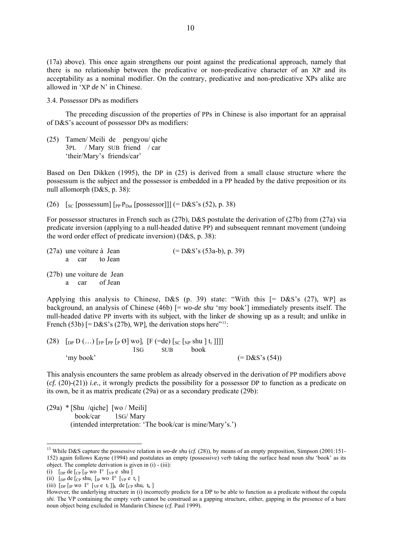(17a) above). This once again strengthens our point against the predicational approach, namely that there is no relationship between the predicative or non-predicative character of an XP and its acceptability as a nominal modifier. On the contrary, predicative and non-predicative XPs alike are allowed in 'XP *de* N' in Chinese.

3.4. Possessor DPs as modifiers

 The preceding discussion of the properties of PPs in Chinese is also important for an appraisal of D&S's account of possessor DPs as modifiers:

(25) Tamen/ Meili de pengyou/ qiche 3PL / Mary SUB friend / car 'their/Mary's friends/car'

Based on Den Dikken (1995), the DP in (25) is derived from a small clause structure where the possessum is the subject and the possessor is embedded in a PP headed by the dative preposition or its null allomorph (D&S, p. 38):

(26)  $\left[ \text{SC} \left[ \text{possessum} \right] \left[ \text{PP}_{\text{Cat}} \left[ \text{possessor} \right] \right] \right]$  (= D&S's (52), p. 38)

For possessor structures in French such as (27b), D&S postulate the derivation of (27b) from (27a) via predicate inversion (applying to a null-headed dative PP) and subsequent remnant movement (undoing the word order effect of predicate inversion) (D&S, p. 38):

| (27a) une voiture à Jean |  |                                            | $(=D&S's(53a-b), p. 39)$ |
|--------------------------|--|--------------------------------------------|--------------------------|
|                          |  | a car to Jean                              |                          |
|                          |  | (27b) une voiture de Jean<br>a car of Jean |                          |

Applying this analysis to Chinese, D&S (p. 39) state: "With this  $[= D&S's (27), WP]$  as background, an analysis of Chinese (46b) [= *wo-de shu* 'my book'] immediately presents itself. The null-headed dative PP inverts with its subject, with the linker *de* showing up as a result; and unlike in French (53b)  $[=D&S's (27b), WP]$ , the derivation stops here<sup> $13$ </sup>:

(28)  $\left[$  [DP D (...)  $\left[$  [FP  $\left[$  PP  $\left[$  P  $\emptyset$  ] WO $\right]$ <sub>i</sub>  $\left[$  F  $\left($  =de)  $\left[$   $\right]$   $\right]$   $\left[$   $\right]$   $\left[$   $\left[$   $\right]$   $\left[$   $\right]$   $\left[$   $\right]$   $\left[$   $\right]$   $\left[$   $\right]$   $\left[$   $\left[$   $\right]$   $\left[$   $\right]$   $\left[$  1SG SUB book 'my book'  $(=\mathrm{D}\&\mathrm{S}'\mathrm{s}$  (54))

This analysis encounters the same problem as already observed in the derivation of PP modifiers above (*cf.* (20)-(21)) *i.e.*, it wrongly predicts the possibility for a possessor DP to function as a predicate on its own, be it as matrix predicate (29a) or as a secondary predicate (29b):

(29a) \* [Shu /qiche] [wo / Meili] book/car 1SG/ Mary (intended interpretation: 'The book/car is mine/Mary's.')

<u>.</u>

<span id="page-9-0"></span><sup>&</sup>lt;sup>13</sup> While D&S capture the possessive relation in *wo-de shu* (*cf.* (28)), by means of an empty preposition, Simpson (2001:151-152) again follows Kayne (1994) and postulates an empty (possessive) verb taking the surface head noun *shu* 'book' as its object. The complete derivation is given in (i) - (iii):

<sup>(</sup>i)  $\int_{DP}$  de  $\int_{CP} \int_{IP}$  wo  $I^{\circ}$   $\left[\sqrt{p}e \sin \theta\right]$ 

<sup>(</sup>ii)  $\left[\right]$  [DP de  $\left[\right]$  cp shu<sub>i</sub>  $\left[\right]$  [WP WO I<sup>o</sup>  $\left[\right]$  [VP e  $\left[\right]$  t<sub>i</sub> ]

<sup>(</sup>iii)  $\lceil_{\text{DP}} \rceil_{\text{IP}}$  wo  $I^{\circ}$   $\lceil_{\text{VP}} \rceil_{\text{CP}}$  e  $t_i \rceil_{\text{R}}$  de  $\lceil_{\text{CP}} \rceil_{\text{Shu}_i}$   $t_k \rceil$ 

However, the underlying structure in (i) incorrectly predicts for a DP to be able to function as a predicate without the copula *shi*. The VP containing the empty verb cannot be construed as a gapping structure, either, gapping in the presence of a bare noun object being excluded in Mandarin Chinese (*cf.* Paul 1999).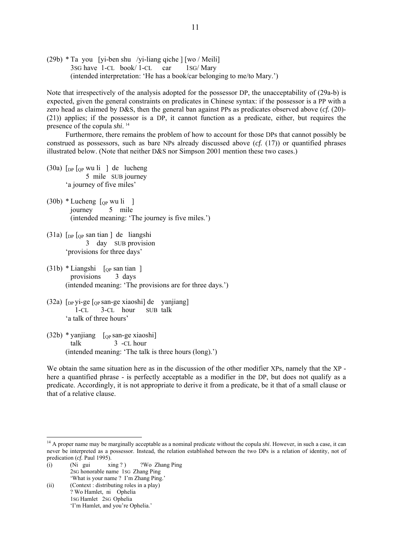(29b) \* Ta you [yi-ben shu /yi-liang qiche ] [wo / Meili] 3SG have 1-CL book/ 1-CL car 1SG/ Mary (intended interpretation: 'He has a book/car belonging to me/to Mary.')

Note that irrespectively of the analysis adopted for the possessor DP, the unacceptability of (29a-b) is expected, given the general constraints on predicates in Chinese syntax: if the possessor is a PP with a zero head as claimed by D&S, then the general ban against PPs as predicates observed above (*cf.* (20)- (21)) applies; if the possessor is a DP, it cannot function as a predicate, either, but requires the presence of the copula *shi*. [14](#page-10-0)

 Furthermore, there remains the problem of how to account for those DPs that cannot possibly be construed as possessors, such as bare NPs already discussed above (*cf.* (17)) or quantified phrases illustrated below. (Note that neither D&S nor Simpson 2001 mention these two cases.)

- $(30a)$  [<sub>DP</sub> [<sub>QP</sub> wu li ] de lucheng 5 mile SUB journey 'a journey of five miles'
- $(30b) * Lucheng$  [<sub>OP</sub> wu li ] journey 5 mile (intended meaning: 'The journey is five miles.')
- $(31a)$  [<sub>DP</sub> [<sub>OP</sub> san tian ] de liangshi 3 day SUB provision 'provisions for three days'
- $(31b)$  \* Liangshi  $\lceil_{\text{OP}}$  san tian ] provisions 3 days (intended meaning: 'The provisions are for three days.')
- $(32a)$  [<sub>DP</sub> yi-ge [<sub>OP</sub> san-ge xiaoshi] de vanjiang] 1-CL 3-CL hour SUB talk 'a talk of three hours'
- $(32b)$  \* yanjiang  $\left[$  <sub>QP</sub> san-ge xiaoshi] talk 3 -CL hour (intended meaning: 'The talk is three hours (long).')

We obtain the same situation here as in the discussion of the other modifier XPs, namely that the XP here a quantified phrase - is perfectly acceptable as a modifier in the DP, but does not qualify as a predicate. Accordingly, it is not appropriate to derive it from a predicate, be it that of a small clause or that of a relative clause.

- (i) (Ni gui xing ?) ?Wo Zhang Ping 2SG honorable name 1SG Zhang Ping
- 'What is your name ? I'm Zhang Ping.' (ii) (Context : distributing roles in a play)
	- ? Wo Hamlet, ni Ophelia 1SG Hamlet 2SG Ophelia

1

'I'm Hamlet, and you're Ophelia.'

<span id="page-10-0"></span><sup>&</sup>lt;sup>14</sup> A proper name may be marginally acceptable as a nominal predicate without the copula *shi*. However, in such a case, it can never be interpreted as a possessor. Instead, the relation established between the two DPs is a relation of identity, not of predication (*cf.* Paul 1995).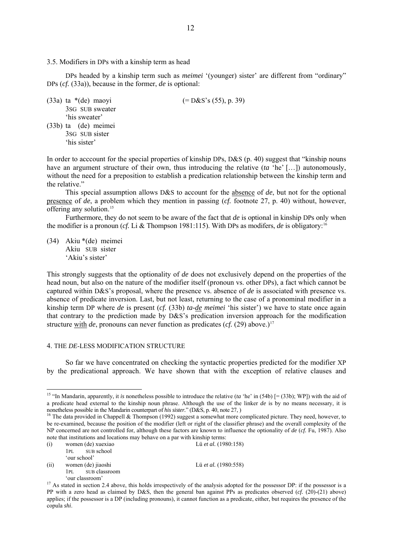## 3.5. Modifiers in DPs with a kinship term as head

DPs headed by a kinship term such as *meimei* '(younger) sister' are different from "ordinary" DPs (*cf.* (33a)), because in the former, *de* is optional:

(33a) ta  $*(de)$  maoyi (= D&S's (55), p. 39) 3SG SUB sweater 'his sweater' (33b) ta (de) meimei 3SG SUB sister 'his sister'

In order to acccount for the special properties of kinship DPs, D&S (p. 40) suggest that "kinship nouns have an argument structure of their own, thus introducing the relative (*ta* 'he' […]) autonomously, without the need for a preposition to establish a predication relationship between the kinship term and the relative."

 This special assumption allows D&S to account for the absence of *de*, but not for the optional presence of *de*, a problem which they mention in passing (*cf.* footnote 27, p. 40) without, however, offering any solution.[15](#page-11-0)

 Furthermore, they do not seem to be aware of the fact that *de* is optional in kinship DPs only when the modifier is a pronoun (*cf.* Li & Thompson 1981:115). With DPs as modifers, *de* is obligatory:[16](#page-11-1)

(34) Akiu \*(de) meimei Akiu SUB sister 'Akiu's sister'

This strongly suggests that the optionality of *de* does not exclusively depend on the properties of the head noun, but also on the nature of the modifier itself (pronoun vs. other DPs), a fact which cannot be captured within D&S's proposal, where the presence vs. absence of *de* is associated with presence vs. absence of predicate inversion. Last, but not least, returning to the case of a pronominal modifier in a kinship term DP where *de* is present (*cf.* (33b) *ta-de meimei* 'his sister') we have to state once again that contrary to the prediction made by D&S's predication inversion approach for the modification structure with *de*, pronouns can never function as predicates (*cf.* (29) above.)<sup>[17](#page-11-2)</sup>

### 4. THE *DE*-LESS MODIFICATION STRUCTURE

 So far we have concentrated on checking the syntactic properties predicted for the modifier XP by the predicational approach. We have shown that with the exception of relative clauses and

<u>.</u>

- (ii) women (de) jiaoshi Lü *et al.* (1980:558) 1PL SUB classroom
	- 'our classroom'

<span id="page-11-0"></span><sup>&</sup>lt;sup>15</sup> "In Mandarin, apparently, it *is* nonetheless possible to introduce the relative (*ta* 'he' in (54b)  $[= (33b)$ ; WP]) with the aid of a predicate head external to the kinship noun phrase. Although the use of the linker  $de$  is by no means necessary, it is nonetheless possible in the Mandarin counterpart of *his sister*." (D&S, p. 40, note 27,)

<span id="page-11-1"></span><sup>&</sup>lt;sup>16</sup> The data provided in Chappell & Thompson (1992) suggest a somewhat more complicated picture. They need, however, to be re-examined, because the position of the modifier (left or right of the classifier phrase) and the overall complexity of the NP concerned are not controlled for, although these factors are known to influence the optionality of *de* (*cf.* Fu, 1987). Also note that institutions and locations may behave on a par with kinship terms:

<sup>(</sup>i) women (de) xuexiao Lü *et al.* (1980:158)

 <sup>1</sup>PL SUB school 'our school'

<span id="page-11-2"></span><sup>&</sup>lt;sup>17</sup> As stated in section 2.4 above, this holds irrespectively of the analysis adopted for the possessor DP: if the possessor is a PP with a zero head as claimed by D&S, then the general ban against PPs as predicates observed (*cf.* (20)-(21) above) applies; if the possessor is a DP (including pronouns), it cannot function as a predicate, either, but requires the presence of the copula *shi*.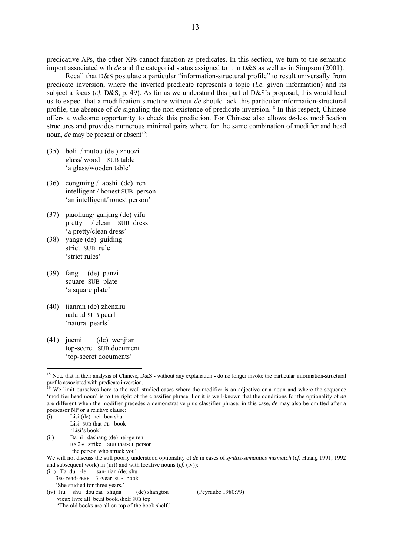predicative APs, the other XPs cannot function as predicates. In this section, we turn to the semantic import associated with *de* and the categorial status assigned to it in D&S as well as in Simpson (2001).

 Recall that D&S postulate a particular "information-structural profile" to result universally from predicate inversion, where the inverted predicate represents a topic (*i.e.* given information) and its subject a focus (*cf.* D&S, p. 49). As far as we understand this part of D&S's proposal, this would lead us to expect that a modification structure without *de* should lack this particular information-structural profile, the absence of *de* signaling the non existence of predicate inversion.[18](#page-12-0) In this respect, Chinese offers a welcome opportunity to check this prediction. For Chinese also allows *de*-less modification structures and provides numerous minimal pairs where for the same combination of modifier and head noun, *de* may be present or absent<sup>[19](#page-12-1)</sup>:

- (35) boli / mutou (de ) zhuozi glass/ wood SUB table 'a glass/wooden table'
- (36) congming / laoshi (de) ren intelligent / honest SUB person 'an intelligent/honest person'
- (37) piaoliang/ ganjing (de) yifu pretty / clean SUB dress 'a pretty/clean dress'
- (38) yange (de) guiding strict SUB rule 'strict rules'
- (39) fang (de) panzi square SUB plate 'a square plate'
- (40) tianran (de) zhenzhu natural SUB pearl 'natural pearls'
- (41) juemi (de) wenjian top-secret SUB document 'top-secret documents'

1

(ii) Ba ni dashang (de) nei-ge ren BA 2SG strike SUB that-CL person 'the person who struck you'

- (iii) Ta du -le san-nian (de) shu
	- 3SG read-PERF 3 -year SUB book 'She studied for three years.'
- (iv) Jiu shu dou zai shujia (de) shangtou (Peyraube 1980:79) vieux livre all be.at book.shelf SUB top 'The old books are all on top of the book shelf.'

<span id="page-12-0"></span><sup>&</sup>lt;sup>18</sup> Note that in their analysis of Chinese, D&S - without any explanation - do no longer invoke the particular information-structural profile associated with predicate inversion.

<span id="page-12-1"></span>We limit ourselves here to the well-studied cases where the modifier is an adjective or a noun and where the sequence 'modifier head noun' is to the right of the classifier phrase. For it is well-known that the conditions for the optionality of *de*  are different when the modifier precedes a demonstrative plus classifier phrase; in this case, *de* may also be omitted after a possessor NP or a relative clause:

<sup>(</sup>i) Lisi (de) nei -ben shu Lisi SUB that-CL book 'Lisi's book'

We will not discuss the still poorly understood optionality of *de* in cases of *syntax-semantics mismatch* (*cf*. Huang 1991, 1992 and subsequent work) in (iii)) and with locative nouns (*cf.* (iv)):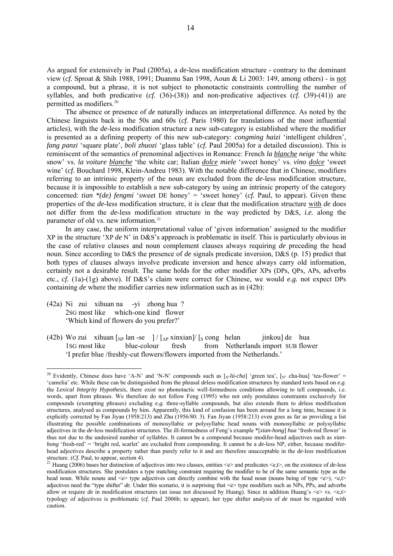As argued for extensively in Paul (2005a), a *de*-less modification structure - contrary to the dominant view (*cf.* Sproat & Shih 1988, 1991; Duanmu San 1998, Aoun & Li 2003: 149, among others) - is not a compound, but a phrase, it is not subject to phonotactic constraints controlling the number of syllables, and both predicative (*cf.* (36)-(38)) and non-predicative adjectives (*cf.* (39)-(41)) are permitted as modifiers.<sup>[20](#page-13-0)</sup>

 The absence or presence of *de* naturally induces an interpretational difference. As noted by the Chinese linguists back in the 50s and 60s (*cf.* Paris 1980) for translations of the most influential articles), with the *de*-less modification structure a new sub-category is established where the modifier is presented as a defining property of this new sub-category: *congming haizi* 'intelligent children', *fang panzi* 'square plate', *boli zhuozi* 'glass table' (*cf.* Paul 2005a) for a detailed discussion). This is reminiscent of the semantics of prenominal adjectives in Romance: French *la blanche neige* 'the white snow' vs. *la voiture blanche* 'the white car; Italian *dolce miele* 'sweet honey' vs. *vino dolce* 'sweet wine' (*cf.* Bouchard 1998, Klein-Andreu 1983). With the notable difference that in Chinese, modifiers referring to an intrinsic property of the noun are excluded from the *de*-less modification structure, because it is impossible to establish a new sub-category by using an intrinsic property of the category concerned: *tian* \*(*de*) *fengmi* 'sweet DE honey' = 'sweet honey' (*cf.* Paul, to appear). Given these properties of the *de*-less modification structure, it is clear that the modification structure with *de* does not differ from the *de*-less modification structure in the way predicted by D&S, *i.e.* along the parameter of old vs. new information.<sup>[21](#page-13-1)</sup>

 In any case, the uniform interpretational value of 'given information' assigned to the modifier XP in the structure 'XP *de* N' in D&S's approach is problematic in itself. This is particularly obvious in the case of relative clauses and noun complement clauses always requiring *de* preceding the head noun. Since according to D&S the presence of *de* signals predicate inversion, D&S (p. 15) predict that both types of clauses always involve predicate inversion and hence always carry old information, certainly not a desirable result. The same holds for the other modifier XPs (DPs, QPs, APs, adverbs etc., *cf.* (1a)-(1g) above). If D&S's claim were correct for Chinese, we would *e.g.* not expect DPs containing *de* where the modifier carries new information such as in (42b):

(42a) Ni zui xihuan na -yi zhong hua ? 2SG most like which-one kind flower 'Which kind of flowers do you prefer?'

1

(42b) Wo zui xihuan  $\begin{bmatrix} \text{Np} \text{ lan } -\text{se} \end{bmatrix} / \begin{bmatrix} A_P \text{ xinxian} \end{bmatrix} / \begin{bmatrix} \text{s} \text{ cong} \text{ helan} \end{bmatrix}$  jinkou] de hua<br>1SG most like blue-colour fresh from Netherlands import SUB flow 1SG most like blue-colour fresh from Netherlands import SUB flower 'I prefer blue /freshly-cut flowers/flowers imported from the Netherlands.'

<span id="page-13-0"></span><sup>&</sup>lt;sup>20</sup> Evidently, Chinese does have 'A-N' and 'N-N' compounds such as  $N^{-1}$  and  $N^{-1}$  areen tea',  $N^{-1}$  cha-hua] 'tea-flower' = 'camelia' etc. While these can be distinguished from the phrasal *de*less modification structures by standard tests based on *e.g.* the *Lexical Integrity Hypothesis*, there exist no phonotactic well-formedness conditions allowing to tell compounds, i.e. words, apart from phrases. We therefore do not follow Feng (1995) who not only postulates constraints exclusively for compounds (exempting phrases) excluding *e.g.* three-syllable compounds, but also extends them to *de*less modification structures, analysed as compounds by him. Apparently, this kind of confusion has been around for a long time, because it is explicitly corrected by Fan Jiyan (1958:213) and Zhu (1956/80: 3). Fan Jiyan (1958:213) even goes as far as providing a list illustrating the possible combinations of monosyllabic or polysyllabic head nouns with monosyllabic or polysyllabic adjectives in the *de*-less modification structures. The ill-formedness of Feng's example \*[*xian-hong*] *hua* 'fresh-red flower' is thus not due to the undesired number of syllables. It cannot be a compound because modifer-head adjectives such as *xianhong* 'fresh-red' = 'bright red, scarlet' are excluded from compounding. It cannot be a *de*-less NP, either, because modiferhead adjectives describe a property rather than purely refer to it and are therefore unacceptable in the *de-*less modification structure. (*Cf.* Paul, to appear, section 4).<br><sup>21</sup> Huang (2006) bases her distinction of adjectives into two classes, entities <e> and predicates <e,t>, on the existence of *de*-less

<span id="page-13-1"></span>modification structures. She postulates a type matching constraint requiring the modifier to be of the same semantic type as the head noun. While nouns and  $\ll$  type adjectives can directly combine with the head noun (nouns being of type  $\ll$ ),  $\ll$ , adjectives need the "type shifter" *de*. Under this scenario, it is surprising that <e> type modifiers such as NPs, PPs, and adverbs allow or require *de* in modification structures (an issue not discussed by Huang). Since in addition Huang's  $\langle e \rangle$  vs.  $\langle e, \uparrow \rangle$ typology of adjectives is problematic (*cf.* Paul 2006b; to appear), her type shifter analysis of *de* must be regarded with caution.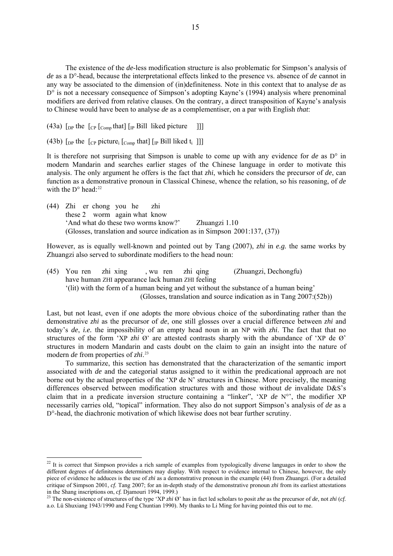The existence of the *de*-less modification structure is also problematic for Simpson's analysis of *de* as a D°-head, because the interpretational effects linked to the presence vs. absence of *de* cannot in any way be associated to the dimension of (in)definiteness. Note in this context that to analyse *de* as D<sup>o</sup> is not a necessary consequence of Simpson's adopting Kayne's (1994) analysis where prenominal modifiers are derived from relative clauses. On the contrary, a direct transposition of Kayne's analysis to Chinese would have been to analyse *de* as a complementiser, on a par with English *that*:

(43a)  $\lceil_{DP}$  the  $\lceil_{CP} \rceil_{Comp}$  that  $\lceil_{IP}$  Bill liked picture  $\lceil \rceil$ 

(43b)  $\lceil \frac{D}{2} \rceil$  the  $\lceil \frac{C}{2} \rceil$  picture<sub>i</sub>  $\lceil \frac{C_{\text{om}}}{2} \rceil$  that  $\lceil \frac{D}{2} \rceil$  [IP Bill liked t<sub>i</sub> ]]

1

It is therefore not surprising that Simpson is unable to come up with any evidence for *de* as D° in modern Mandarin and searches earlier stages of the Chinese language in order to motivate this analysis. The only argument he offers is the fact that *zhi*, which he considers the precursor of *de*, can function as a demonstrative pronoun in Classical Chinese, whence the relation, so his reasoning, of *de*  with the D° head:<sup>[22](#page-14-0)</sup>

(44) Zhi er chong you he zhi these 2 worm again what know 'And what do these two worms know?' Zhuangzi 1.10 (Glosses, translation and source indication as in Simpson 2001:137, (37))

However, as is equally well-known and pointed out by Tang (2007), *zhi* in *e.g.* the same works by Zhuangzi also served to subordinate modifiers to the head noun:

(45) You ren zhi xing , wu ren zhi qing (Zhuangzi, Dechongfu) have human ZHI appearance lack human ZHI feeling '(lit) with the form of a human being and yet without the substance of a human being' (Glosses, translation and source indication as in Tang 2007:(52b))

Last, but not least, even if one adopts the more obvious choice of the subordinating rather than the demonstrative *zhi* as the precursor of *de*, one still glosses over a crucial difference between *zhi* and today's *de*, *i.e.* the impossibility of an empty head noun in an NP with *zhi*. The fact that that no structures of the form 'XP *zhi* Ø' are attested contrasts sharply with the abundance of 'XP de Ø' structures in modern Mandarin and casts doubt on the claim to gain an insight into the nature of modern *de* from properties of *zhi*. [23](#page-14-1)

 To summarize, this section has demonstrated that the characterization of the semantic import associated with *de* and the categorial status assigned to it within the predicational approach are not borne out by the actual properties of the 'XP de N' structures in Chinese. More precisely, the meaning differences observed between modification structures with and those without *de* invalidate D&S's claim that in a predicate inversion structure containing a "linker", 'XP *de* N°', the modifier XP necessarily carries old, "topical" information. They also do not support Simpson's analysis of *de* as a D°-head, the diachronic motivation of which likewise does not bear further scrutiny.

<span id="page-14-0"></span> $2<sup>22</sup>$  It is correct that Simpson provides a rich sample of examples from typologically diverse languages in order to show the different degrees of definiteness determiners may display. With respect to evidence internal to Chinese, however, the only piece of evidence he adduces is the use of *zhi* as a demonstrative pronoun in the example (44) from Zhuangzi. (For a detailed critique of Simpson 2001, *cf.* Tang 2007; for an in-depth study of the demonstrative pronoun *zhi* from its earliest attestations in the Shang inscriptions on, cf. Djamouri 1994, 1999.)<br><sup>23</sup> The non-existence of structures of the type 'XP zhi  $\varnothing$ ' has in fact led scholars to posit zhe as the precursor of de, not zhi (cf.

<span id="page-14-1"></span>a.o. Lü Shuxiang 1943/1990 and Feng Chuntian 1990). My thanks to Li Ming for having pointed this out to me.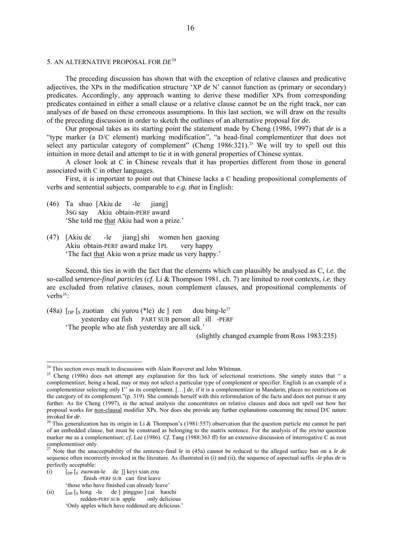# 5. AN ALTERNATIVE PROPOSAL FOR *DE*[24](#page-15-0)

 The preceding discussion has shown that with the exception of relative clauses and predicative adjectives, the XPs in the modification structure 'XP *de* N' cannot function as (primary or secondary) predicates. Accordingly, any approach wanting to derive these modifier XPs from corresponding predicates contained in either a small clause or a relative clause cannot be on the right track, nor can analyses of *de* based on these erroneous assumptions. In this last section, we will draw on the results of the preceding discussion in order to sketch the outlines of an alternative proposal for *de.*

 Our proposal takes as its starting point the statement made by Cheng (1986, 1997) that *de* is a "type marker (a D/C element) marking modification", "a head-final complementizer that does not select any particular category of complement" (Cheng  $1986:321$ ).<sup>[25](#page-15-1)</sup> We will try to spell out this intuition in more detail and attempt to tie it in with general properties of Chinese syntax.

 A closer look at C in Chinese reveals that it has properties different from those in general associated with C in other languages.

 First, it is important to point out that Chinese lacks a C heading propositional complements of verbs and sentential subjects, comparable to *e.g. that* in English:

- (46) Ta shuo [Akiu de -le jiang] 3SG say Akiu obtain-PERF award 'She told me that Akiu had won a prize.'
- (47) [Akiu de -le jiang] shi women hen gaoxing Akiu obtain-PERF award make 1PL very happy 'The fact that Akiu won a prize made us very happy.'

 Second, this ties in with the fact that the elements which can plausibly be analysed as C, *i.e.* the so-called *sentence-final particles* (*cf.* Li & Thompson 1981, ch. 7) are limited to root contexts, *i.e.* they are excluded from relative clauses, noun complement clauses, and propositional complements of verbs<sup>[26](#page-15-2)</sup>:

(48a)  $\lceil \frac{D}{2} \rceil$  [s zuotian chi yurou (\*le) de ] ren dou bing-le<sup>[27](#page-15-3)</sup> yesterday eat fish PART SUB person all ill -PERF 'The people who ate fish yesterday are all sick.'

(slightly changed example from Ross 1983:235)

- (i)  $\int_{\text{DP}} \int_S$  zuowan-le de ]] keyi xian zou
	- finish -PERF SUB can first leave
- 'those who have finished can already leave'<br>  $\lceil_{\text{DP}} \rceil_s$  hong -le de  $\lceil$  pingguo  $\lceil$  cai hao (ii)  $\begin{bmatrix} \text{DP} \mid \text{s} \text{hong} \end{bmatrix}$  -le de ] pingguo ] cai haochi redden-PERF SUB apple only delicious redden-PERF SUB apple 'Only apples which have reddened are delicious.'

<span id="page-15-0"></span><sup>&</sup>lt;sup>24</sup> This section owes much to discussions with Alain Rouveret and John Whitman.

<span id="page-15-1"></span><sup>&</sup>lt;sup>25</sup> Cheng (1986) does not attempt any explanation for this lack of selectional restrictions. She simply states that " a complementizer, being a head, may or may not select a particular type of complement or specifier. English is an example of a complementizer selecting only I'' as its complement. […] *de*, if it is a complementizer in Mandarin, places no restrictions on the category of its complement."(p. 319). She contends herself with this reformulation of the facts and does not pursue it any further. As for Cheng (1997), in the actual analysis she concentrates on relative clauses and does not spell out how her proposal works for non-clausal modifier XPs. Nor does she provide any further explanations concerning the mixed D/C nature invoked for *de*. 26 This generalization has its origin in Li & Thompson's (1981:557) observation that the question particle *ma* cannot be part

<span id="page-15-2"></span>of an embedded clause, but must be construed as belonging to the matrix sentence. For the analysis of the *yes/no* question marker *ma* as a complementiser; *cf.* Lee (1986). *Cf.* Tang (1988:363 ff) for an extensive discussion of interrogative C as root complementiser only.

<span id="page-15-3"></span><sup>27</sup> Note that the unacceptability of the sentence-final *le* in (45a) cannot be reduced to the alleged surface ban on a *le de* sequence often incorrectly invoked in the literature. As illustrated in (i) and (ii), the sequence of aspectual suffix *-le* plus *de* is perfectly acceptable: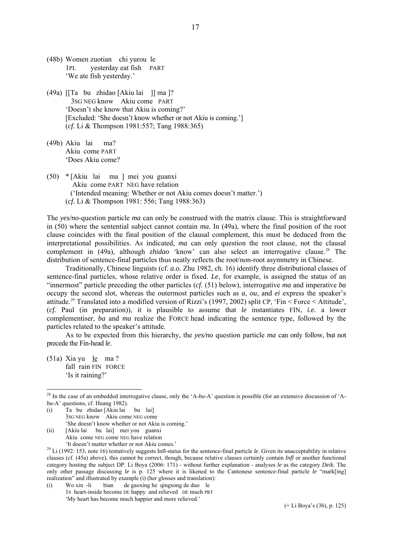- (48b) Women zuotian chi yurou le 1PL yesterday eat fish PART 'We ate fish yesterday.'
- (49a) [[Ta bu zhidao [Akiu lai ]] ma ]? 3SG NEG know Akiu come PART 'Doesn't she know that Akiu is coming?' [Excluded: 'She doesn't know whether or not Akiu is coming.'] (*cf.* Li & Thompson 1981:557; Tang 1988:365)
- (49b) Akiu lai ma? Akiu come PART 'Does Akiu come?
- (50) \* [Akiu lai ma ] mei you guanxi Akiu come PART NEG have relation ('Intended meaning: Whether or not Akiu comes doesn't matter.') (*cf.* Li & Thompson 1981: 556; Tang 1988:363)

The *yes/no*-question particle *ma* can only be construed with the matrix clause. This is straightforward in (50) where the sentential subject cannot contain *ma.* In (49a), where the final position of the root clause coincides with the final position of the clausal complement, this must be deduced from the interpretational possibilities. As indicated, *ma* can only question the root clause, not the clausal complement in (49a), although *zhidao* 'know' can also select an interrogative clause.<sup>[28](#page-16-0)</sup> The distribution of sentence-final particles thus neatly reflects the root/non-root asymmetry in Chinese.

 Traditionally, Chinese linguists (cf. *a.o.* Zhu 1982, ch. 16) identify three distributional classes of sentence-final particles, whose relative order is fixed. *Le*, for example, is assigned the status of an "innermost" particle preceding the other particles (*cf.* (51) below), interrogative *ma* and imperative *ba* occupy the second slot, whereas the outermost particles such as *a*, *ou*, and *ei* express the speaker's attitude.<sup>[29](#page-16-1)</sup> Translated into a modified version of Rizzi's (1997, 2002) split CP, 'Fin  $\leq$  Force  $\leq$  Attitude', (*cf.* Paul (in preparation)), it is plausible to assume that *le* instantiates FIN, *i.e.* a lower complementiser, *ba* and *ma* realize the FORCE head indicating the sentence type, followed by the particles related to the speaker's attitude.

 As to be expected from this hierarchy, the *yes/no* question particle *ma* can only follow, but not precede the Fin-head *le*.

 $(51a)$  Xia yu le ma? fall rain FIN FORCE 'Is it raining?'

<u>.</u>

- (i) Ta bu zhidao [Akiu lai bu lai] 3SG NEG know Akiu come NEG come 'She doesn't know whether or not Akiu is coming.' (ii) [Akiu lai bu lai] mei you guanxi
	- Akiu come NEG come NEG have relation 'It doesn't matter whether or not Akiu comes.'

(i) Wo xin -li bian de gaoxing he qingsong de duo le 1S heart-inside become DE happy and relieved DE much PRT 'My heart has become much happier and more relieved.'

17

<span id="page-16-0"></span><sup>28</sup> In the case of an embedded interrogative clause, only the 'A-*bu*-A' question is possible (for an extensive discussion of 'A*bu*-A' questions, cf. Huang 1982).

<span id="page-16-1"></span><sup>&</sup>lt;sup>29</sup> Li (1992: 153, note 16) tentatively suggests Infl-status for the sentence-final particle *le*. Given its unacceptability in relative clauses (cf. (45a) above), this cannot be correct, though, because relative clauses certainly contain *Infl* or another functional category hosting the subject DP. Li Boya (2006: 171) - without further explanation - analyses *le* as the category *Deik*. The only other passage discussing *le* is p. 125 where it is likened to the Cantonese sentence-final particle *le* "mark[ing] realization" and illustrated by example (i) (her glosses and translation):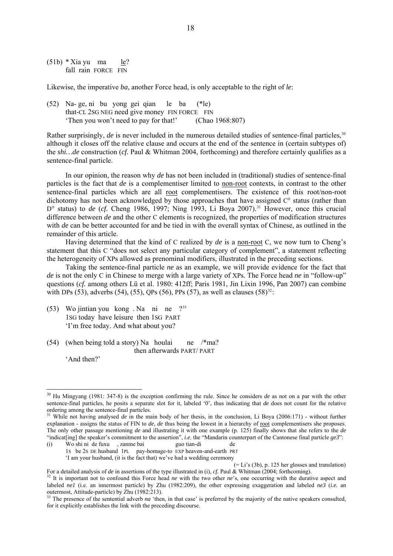$(51b) *$ Xia yu ma le? fall rain FORCE FIN

Likewise, the imperative *ba*, another Force head, is only acceptable to the right of *le*:

(52) Na- ge, ni bu yong gei qian le ba (\*le) that-CL 2SG NEG need give money FIN FORCE FIN 'Then you won't need to pay for that!' (Chao 1968:807)

Rather surprisingly, *de* is never included in the numerous detailed studies of sentence-final particles.<sup>[30](#page-17-0)</sup> although it closes off the relative clause and occurs at the end of the sentence in (certain subtypes of) the *shi…de* construction (*cf.* Paul & Whitman 2004, forthcoming) and therefore certainly qualifies as a sentence-final particle.

 In our opinion, the reason why *de* has not been included in (traditional) studies of sentence-final particles is the fact that *de* is a complementiser limited to non-root contexts, in contrast to the other sentence-final particles which are all root complementisers. The existence of this root/non-root dichotomy has not been acknowledged by those approaches that have assigned C° status (rather than D° status) to *de* (*cf.* Cheng 1986, 1997; Ning 1993, Li Boya 2007).<sup>[31](#page-17-1)</sup> However, once this crucial difference between *de* and the other C elements is recognized, the properties of modification structures with *de* can be better accounted for and be tied in with the overall syntax of Chinese, as outlined in the remainder of this article.

 Having determined that the kind of C realized by *de* is a non-root C, we now turn to Cheng's statement that this C "does not select any particular category of complement", a statement reflecting the heterogeneity of XPs allowed as prenominal modifiers, illustrated in the preceding sections.

 Taking the sentence-final particle *ne* as an example, we will provide evidence for the fact that *de* is not the only C in Chinese to merge with a large variety of XPs. The Force head *ne* in "follow-up" questions (*cf.* among others Lü et al. 1980: 412ff; Paris 1981, Jin Lixin 1996, Pan 2007) can combine with DPs (53), adverbs (54), (55), QPs (56), PPs (57), as well as clauses (58)<sup>[32](#page-17-2)</sup>:

- (53) Wo jintian you kong . Na ni ne ?[33](#page-17-3) 1SG today have leisure then 1SG PART 'I'm free today. And what about you?
- (54) (when being told a story) Na houlai ne  $\ell$ <sup>\*</sup>ma? then afterwards PART/ PART

'And then?'

<u>.</u>

(i) Wo shi ni de fuxu , zanme bai guo tian-di de 1S be 2S DE husband 1PL pay-homage-to EXP heaven-and-earth PRT 'I am your husband, (it is the fact that) we've had a wedding ceremony

(= Li's (3b), p. 125 her glosses and translation)

<span id="page-17-0"></span><sup>30</sup> Hu Mingyang (1981: 347-8) is the exception confirming the rule. Since he considers *de* as not on a par with the other sentence-final particles, he posits a separate slot for it, labeled '0', thus indicating that *de* does not count for the relative ordering among the sentence-final particles.

<span id="page-17-1"></span><sup>&</sup>lt;sup>31</sup> While not having analysed *de* in the main body of her thesis, in the conclusion, Li Boya (2006:171) - without further explanation - assigns the status of FIN to *de*, *de* thus being the lowest in a hierarchy of root complementisers she proposes. The only other passage mentioning *de* and illustrating it with one example (p. 125) finally shows that she refers to the *de* "indicat[ing] the speaker's commitment to the assertion", *i.e.* the "Mandarin counterpart of the Cantonese final particle *ge3*":

<span id="page-17-2"></span>For a detailed analysis of de in assertions of the type illustrated in (i), cf. Paul & Whitman (2004; forthcoming).<br><sup>32</sup> It is important not to confound this Force head *ne* with the two other *ne*'s, one occurring with t labeled *ne1* (i.e. an innermost particle) by Zhu (1982:209), the other expressing exaggeration and labeled *ne3* (*i.e.* an outermost, Attitude-particle) by Zhu (1982:213).

<span id="page-17-3"></span> $33$  The presence of the sentential adverb *na* 'then, in that case' is preferred by the majority of the native speakers consulted, for it explicitly establishes the link with the preceding discourse.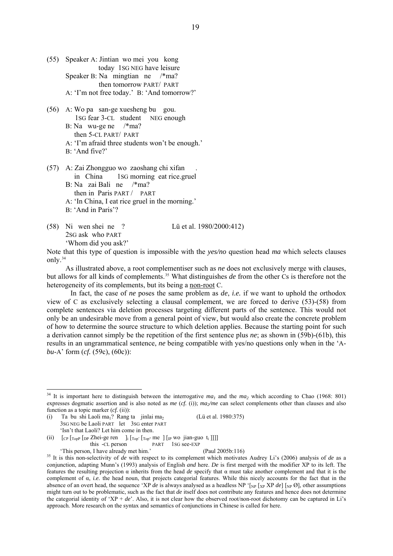- (55) Speaker A: Jintian wo mei you kong today 1SG NEG have leisure Speaker B: Na mingtian ne /\*ma? then tomorrow PART/ PART A: 'I'm not free today.' B: 'And tomorrow?'
- (56) A: Wo pa san-ge xuesheng bu gou. 1SG fear 3-CL student NEG enough B: Na wu-ge ne /\*ma? then 5-CL PART/ PART A: 'I'm afraid three students won't be enough.' B: 'And five?'
- (57) A: Zai Zhongguo wo zaoshang chi xifan . in China 1SG morning eat rice.gruel B: Na zai Bali ne /\*ma? then in Paris PART / PART A: 'In China, I eat rice gruel in the morning.' B: 'And in Paris'?
- (58) Ni wen shei ne ? Lü et al. 1980/2000:412) 2SG ask who PART 'Whom did you ask?'

Note that this type of question is impossible with the *yes/no* question head *ma* which selects clauses only.[34](#page-18-0)

 As illustrated above, a root complementiser such as *ne* does not exclusively merge with clauses, but allows for all kinds of complements.[35](#page-18-1) What distinguishes *de* from the other Cs is therefore not the heterogeneity of its complements, but its being a non-root C.

 In fact, the case of *ne* poses the same problem as *de*, *i.e.* if we want to uphold the orthodox view of C as exclusively selecting a clausal complement, we are forced to derive (53)-(58) from complete sentences via deletion processes targeting different parts of the sentence. This would not only be an undesirable move from a general point of view, but would also create the concrete problem of how to determine the source structure to which deletion applies. Because the starting point for such a derivation cannot simply be the repetition of the first sentence plus *ne*; as shown in (59b)-(61b), this results in an ungrammatical sentence, *ne* being compatible with yes/no questions only when in the 'A*bu*-A' form (*cf.* (59c), (60c)):

(i) Ta bu shi Laoli ma<sub>1</sub>? Rang ta jinlai ma<sub>2</sub> (Lü et al. 1980:375) 3SG NEG be Laoli PART let 3SG enter PART 'Isn't that Laoli? Let him come in then.

(ii)  $\int_{\text{CP}} \int_{\text{Top}} \text{Dp} \text{Zhei-ge ren}$   $\int_{\text{i}} \int_{\text{Top}} \int_{\text{Top}} \text{me} \left[ \int_{\text{IP}} \text{wo} \text{jian-guo} t_i \right] \right]$ this -CL person PART 1sG see-EXP 'This person, I have already met him.' (Paul 2005b:116)

<u>.</u>

<span id="page-18-0"></span> $34$  It is important here to distinguish between the interrogative  $ma_1$  and the  $ma_2$  which according to Chao (1968: 801) expresses dogmatic assertion and is also noted as *me* (*cf.* (i));  $ma/me$  can select complements other than clauses and also function as a topic marker (*cf.* (ii)):

<span id="page-18-1"></span><sup>&</sup>lt;sup>35</sup> It is this non-selectivity of *de* with respect to its complement which motivates Audrey Li's (2006) analysis of *de* as a conjunction, adapting Munn's (1993) analysis of English *and* here. *De* is first merged with the modifier XP to its left. The features the resulting projection α inherits from the head *de* specify that α must take another complement and that it is the complement of α, *i.e.* the head noun, that projects categorial features. While this nicely accounts for the fact that in the absence of an overt head, the sequence 'XP *de* is always analysed as a headless NP '[<sub>NP</sub> [<sub>XP</sub> XP *de*] [<sub>NP</sub> Ø], other assumptions might turn out to be problematic, such as the fact that *de* itself does not contribute any features and hence does not determine the categorial identity of 'XP +  $de'$ . Also, it is not clear how the observed root/non-root dichotomy can be captured in Li's approach. More research on the syntax and semantics of conjunctions in Chinese is called for here.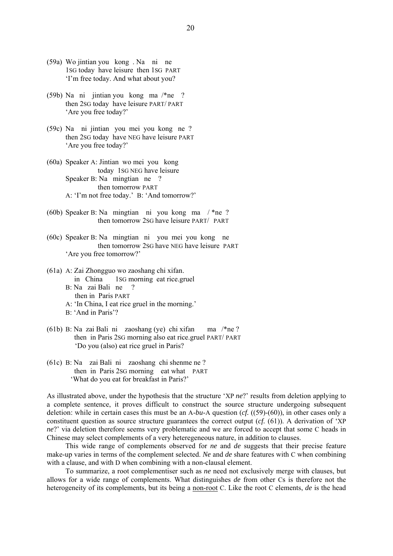- (59a) Wo jintian you kong . Na ni ne 1SG today have leisure then 1SG PART 'I'm free today. And what about you?
- (59b) Na ni jintian you kong ma /\*ne ? then 2SG today have leisure PART/ PART 'Are you free today?'
- (59c) Na ni jintian you mei you kong ne ? then 2SG today have NEG have leisure PART 'Are you free today?'
- (60a) Speaker A: Jintian wo mei you kong today 1SG NEG have leisure Speaker B: Na mingtian ne ? then tomorrow PART A: 'I'm not free today.' B: 'And tomorrow?'
- (60b) Speaker B: Na mingtian ni you kong ma / \*ne ? then tomorrow 2SG have leisure PART/ PART
- (60c) Speaker B: Na mingtian ni you mei you kong ne then tomorrow 2SG have NEG have leisure PART 'Are you free tomorrow?'
- (61a) A: Zai Zhongguo wo zaoshang chi xifan. in China 1SG morning eat rice.gruel B: Na zai Bali ne ? then in Paris PART A: 'In China, I eat rice gruel in the morning.'
	- B: 'And in Paris'?
- (61b) B: Na zai Bali ni zaoshang (ye) chi xifan ma /\*ne ? then in Paris 2SG morning also eat rice.gruel PART/ PART 'Do you (also) eat rice gruel in Paris?
- (61c) B: Na zai Bali ni zaoshang chi shenme ne ? then in Paris 2SG morning eat what PART 'What do you eat for breakfast in Paris?'

As illustrated above, under the hypothesis that the structure 'XP *ne*?' results from deletion applying to a complete sentence, it proves difficult to construct the source structure undergoing subsequent deletion: while in certain cases this must be an A-*bu*-A question (*cf.* ((59)-(60)), in other cases only a constituent question as source structure guarantees the correct output (*cf.* (61)). A derivation of 'XP *ne*?' via deletion therefore seems very problematic and we are forced to accept that some C heads in Chinese may select complements of a very heteregeneous nature, in addition to clauses.

 This wide range of complements observed for *ne* and *de* suggests that their precise feature make-up varies in terms of the complement selected. *Ne* and *de* share features with C when combining with a clause, and with D when combining with a non-clausal element.

 To summarize, a root complementiser such as *ne* need not exclusively merge with clauses, but allows for a wide range of complements. What distinguishes *de* from other Cs is therefore not the heterogeneity of its complements, but its being a non-root C. Like the root C elements, *de* is the head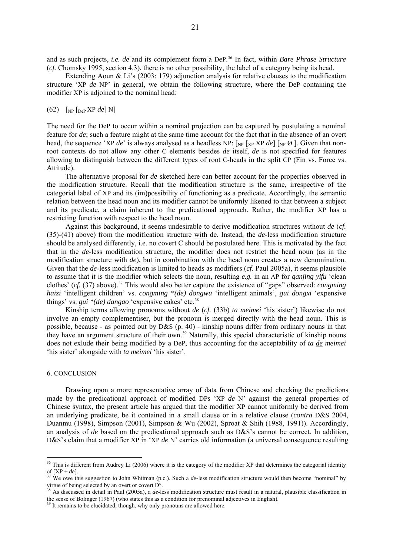and as such projects, *i.e. de* and its complement form a DeP. [36](#page-20-0) In fact, within *Bare Phrase Structure* (*cf.* Chomsky 1995, section 4.3), there is no other possibility, the label of a category being its head.

Extending Aoun  $\&$  Li's (2003: 179) adjunction analysis for relative clauses to the modification structure 'XP *de* NP' in general, we obtain the following structure, where the DeP containing the modifier XP is adjoined to the nominal head:

### $(62)$  [<sub>NP</sub> [<sub>DeP</sub> XP *de*] N]

The need for the DeP to occur within a nominal projection can be captured by postulating a nominal feature for *de*; such a feature might at the same time account for the fact that in the absence of an overt head, the sequence 'XP *de*' is always analysed as a headless NP:  $\lceil_{NP} \rceil_{XP}$  XP *de*]  $\lceil_{NP} \emptyset \rceil$ . Given that nonroot contexts do not allow any other C elements besides *de* itself, *de* is not specified for features allowing to distinguish between the different types of root C-heads in the split CP (Fin vs. Force vs. Attitude).

 The alternative proposal for *de* sketched here can better account for the properties observed in the modification structure. Recall that the modification structure is the same, irrespective of the categorial label of XP and its (im)possibility of functioning as a predicate. Accordingly, the semantic relation between the head noun and its modifier cannot be uniformly likened to that between a subject and its predicate, a claim inherent to the predicational approach. Rather, the modifier XP has a restricting function with respect to the head noun.

 Against this background, it seems undesirable to derive modification structures without *de* (*cf.* (35)-(41) above) from the modification structure with de. Instead, the *de*-less modification structure should be analysed differently, i.e. no covert C should be postulated here. This is motivated by the fact that in the *de*-less modification structure, the modifier does not restrict the head noun (as in the modification structure with *de*), but in combination with the head noun creates a new denomination. Given that the *de*-less modification is limited to heads as modifiers (*cf.* Paul 2005a), it seems plausible to assume that it is the modifier which selects the noun, resulting *e.g.* in an AP for *ganjing yifu* 'clean clothes' (*cf.* ([37](#page-20-1)) above).<sup>37</sup> This would also better capture the existence of "gaps" observed: *congming haizi* 'intelligent children' vs. *congming \*(de) dongwu* 'intelligent animals', *gui dongxi* 'expensive things' vs. *gui \*(de) dangao* 'expensive cakes' etc.<sup>[38](#page-20-2)</sup>

 Kinship terms allowing pronouns without *de* (*cf.* (33b) *ta meimei* 'his sister') likewise do not involve an empty complementiser, but the pronoun is merged directly with the head noun. This is possible, because - as pointed out by D&S (p. 40) - kinship nouns differ from ordinary nouns in that they have an argument structure of their own.[39](#page-20-3) Naturally, this special characteristic of kinship nouns does not exlude their being modified by a DeP, thus accounting for the acceptability of *ta de meimei* 'his sister' alongside with *ta meimei* 'his sister'.

## 6. CONCLUSION

1

 Drawing upon a more representative array of data from Chinese and checking the predictions made by the predicational approach of modified DPs 'XP *de* N' against the general properties of Chinese syntax, the present article has argued that the modifier XP cannot uniformly be derived from an underlying predicate, be it contained in a small clause or in a relative clause (*contra* D&S 2004, Duanmu (1998), Simpson (2001), Simpson & Wu (2002), Sproat & Shih (1988, 1991)). Accordingly, an analysis of *de* based on the predicational approach such as D&S's cannot be correct. In addition, D&S's claim that a modifier XP in 'XP *de* N' carries old information (a universal consequence resulting

<span id="page-20-0"></span> $36$  This is different from Audrey Li (2006) where it is the category of the modifier XP that determines the categorial identity of  $[XP + de]$ .<br><sup>37</sup> We owe this suggestion to John Whitman (p.c.). Such a *de*-less modification structure would then become "nominal" by

<span id="page-20-1"></span>virtue of being selected by an overt or covert D°.

<span id="page-20-2"></span><sup>38</sup> As discussed in detail in Paul (2005a), a *de*-less modification structure must result in a natural, plausible classification in the sense of Bolinger (1967) (who states this as a condition for prenominal adjectives in English). <sup>39</sup> It remains to be elucidated, though, why only pronouns are allowed here.

<span id="page-20-3"></span>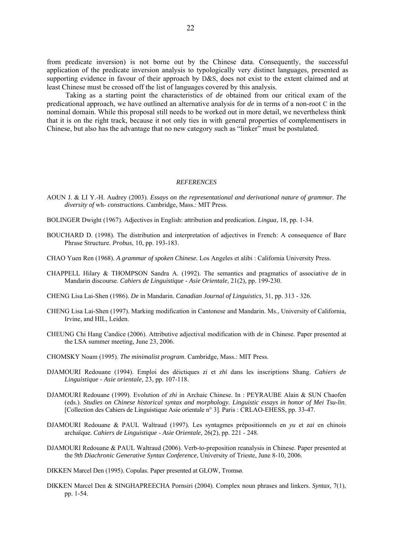from predicate inversion) is not borne out by the Chinese data. Consequently, the successful application of the predicate inversion analysis to typologically very distinct languages, presented as supporting evidence in favour of their approach by D&S, does not exist to the extent claimed and at least Chinese must be crossed off the list of languages covered by this analysis.

 Taking as a starting point the characteristics of *de* obtained from our critical exam of the predicational approach, we have outlined an alternative analysis for *de* in terms of a non-root C in the nominal domain. While this proposal still needs to be worked out in more detail, we nevertheless think that it is on the right track, because it not only ties in with general properties of complementisers in Chinese, but also has the advantage that no new category such as "linker" must be postulated.

#### *REFERENCES*

- AOUN J. & LI Y.-H. Audrey (2003). *Essays on the representational and derivational nature of grammar. The diversity of* wh- *constructions*. Cambridge, Mass.: MIT Press.
- BOLINGER Dwight (1967). Adjectives in English: attribution and predication. *Lingua*, 18, pp. 1-34.
- BOUCHARD D. (1998). The distribution and interpretation of adjectives in French: A consequence of Bare Phrase Structure. *Probus*, 10, pp. 193-183.
- CHAO Yuen Ren (1968). *A grammar of spoken Chinese.* Los Angeles et alibi : California University Press.
- CHAPPELL Hilary & THOMPSON Sandra A. (1992). The semantics and pragmatics of associative *de* in Mandarin discourse. *Cahiers de Linguistique - Asie Orientale*, 21(2), pp. 199-230.

CHENG Lisa Lai-Shen (1986). *De* in Mandarin. *Canadian Journal of Linguistics,* 31, pp. 313 - 326.

- CHENG Lisa Lai-Shen (1997). Marking modification in Cantonese and Mandarin. Ms., University of California, Irvine, and HIL, Leiden.
- CHEUNG Chi Hang Candice (2006). Attributive adjectival modification with *de* in Chinese. Paper presented at the LSA summer meeting, June 23, 2006.
- CHOMSKY Noam (1995). *The minimalist program*. Cambridge, Mass.: MIT Press.
- DJAMOURI Redouane (1994). Emploi des déictiques *zi* et *zhi* dans les inscriptions Shang. *Cahiers de Linguistique - Asie orientale,* 23, pp. 107-118.
- DJAMOURI Redouane (1999). Evolution of *zhi* in Archaic Chinese. In : PEYRAUBE Alain & SUN Chaofen (eds.). *Studies on Chinese historical syntax and morphology. Linguistic essays in honor of Mei Tsu-lin*. [Collection des Cahiers de Linguistique Asie orientale n° 3]. Paris : CRLAO-EHESS, pp. 33-47.
- DJAMOURI Redouane & PAUL Waltraud (1997). Les syntagmes prépositionnels en *yu* et *zai* en chinois archaïque. *Cahiers de Linguistique - Asie Orientale,* 26(2), pp. 221 - 248.
- DJAMOURI Redouane & PAUL Waltraud (2006). Verb-to-preposition reanalysis in Chinese. Paper presented at the *9th Diachronic Generative Syntax Conference*, University of Trieste, June 8-10, 2006.
- DIKKEN Marcel Den (1995). Copulas. Paper presented at GLOW, Tromsø.
- DIKKEN Marcel Den & SINGHAPREECHA Pornsiri (2004). Complex noun phrases and linkers. *Syntax,* 7(1), pp. 1-54.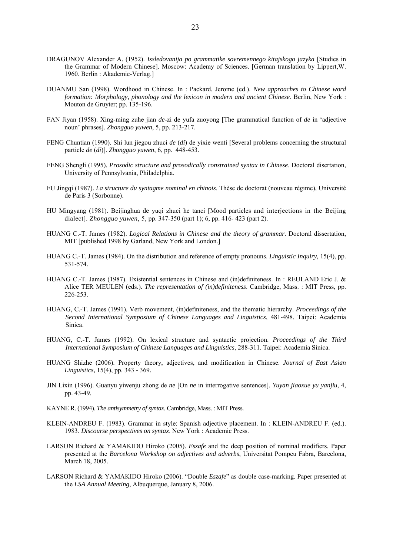- DRAGUNOV Alexander A. (1952). *Issledovanija po grammatike sovremennego kitajskogo jazyka* [Studies in the Grammar of Modern Chinese]. Moscow: Academy of Sciences. [German translation by Lippert,W. 1960. Berlin : Akademie-Verlag.]
- DUANMU San (1998). Wordhood in Chinese. In : Packard, Jerome (ed.). *New approaches to Chinese word formation: Morphology, phonology and the lexicon in modern and ancient Chinese*. Berlin, New York : Mouton de Gruyter; pp. 135-196.
- FAN Jiyan (1958). Xing-ming zuhe jian *de*-zi de yufa zuoyong [The grammatical function of *de* in 'adjective noun' phrases]. *Zhongguo yuwen*, 5, pp. 213-217.
- FENG Chuntian (1990). Shi lun jiegou zhuci *de* (*di*) de yixie wenti [Several problems concerning the structural particle *de* (*di*)]. *Zhongguo yuwen*, 6, pp. 448-453.
- FENG Shengli (1995). *Prosodic structure and prosodically constrained syntax in Chinese*. Doctoral disertation, University of Pennsylvania, Philadelphia.
- FU Jingqi (1987). *La structure du syntagme nominal en chinois*. Thèse de doctorat (nouveau régime), Université de Paris 3 (Sorbonne).
- HU Mingyang (1981). Beijinghua de yuqi zhuci he tanci [Mood particles and interjections in the Beijing dialect]. *Zhongguo yuwen*, 5, pp. 347-350 (part 1); 6, pp. 416- 423 (part 2).
- HUANG C.-T. James (1982). *Logical Relations in Chinese and the theory of grammar*. Doctoral dissertation, MIT [published 1998 by Garland, New York and London.]
- HUANG C.-T. James (1984). On the distribution and reference of empty pronouns. *Linguistic Inquiry,* 15(4), pp. 531-574.
- HUANG C.-T. James (1987). Existential sentences in Chinese and (in)definiteness. In : REULAND Eric J. & Alice TER MEULEN (eds.). *The representation of (in)definiteness*. Cambridge, Mass. : MIT Press, pp. 226-253.
- HUANG, C.-T. James (1991). Verb movement, (in)definiteness, and the thematic hierarchy. *Proceedings of the Second International Symposium of Chinese Languages and Linguistics*, 481-498. Taipei: Academia Sinica.
- HUANG, C.-T. James (1992). On lexical structure and syntactic projection. *Proceedings of the Third International Symposium of Chinese Languages and Linguistics*, 288-311. Taipei: Academia Sinica.
- HUANG Shizhe (2006). Property theory, adjectives, and modification in Chinese. *Journal of East Asian Linguistics,* 15(4), pp. 343 - 369.
- JIN Lixin (1996). Guanyu yiwenju zhong de *ne* [On *ne* in interrogative sentences]. *Yuyan jiaoxue yu yanjiu*, 4, pp. 43-49.
- KAYNE R. (1994). *The antisymmetry of syntax.* Cambridge, Mass. : MIT Press.
- KLEIN-ANDREU F. (1983). Grammar in style: Spanish adjective placement. In : KLEIN-ANDREU F. (ed.). 1983. *Discourse perspectives on syntax*. New York : Academic Press.
- LARSON Richard & YAMAKIDO Hiroko (2005). *Eszafe* and the deep position of nominal modifiers. Paper presented at the *Barcelona Workshop on adjectives and adverbs*, Universitat Pompeu Fabra, Barcelona, March 18, 2005.
- LARSON Richard & YAMAKIDO Hiroko (2006). "Double *Eszafe*" as double case-marking. Paper presented at the *LSA Annual Meeting*, Albuquerque, January 8, 2006.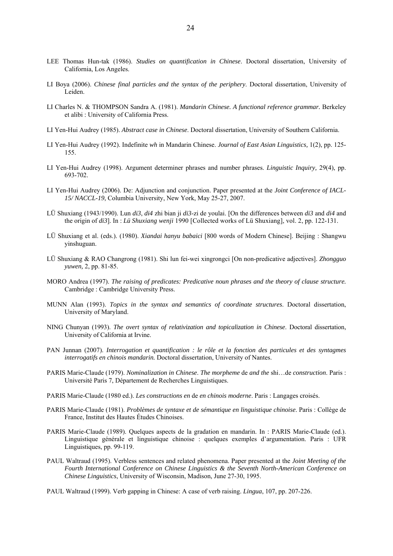- LEE Thomas Hun-tak (1986). *Studies on quantification in Chinese*. Doctoral dissertation, University of California, Los Angeles.
- LI Boya (2006). *Chinese final particles and the syntax of the periphery*. Doctoral dissertation, University of Leiden.
- LI Charles N. & THOMPSON Sandra A. (1981). *Mandarin Chinese. A functional reference grammar.* Berkeley et alibi : University of California Press.
- LI Yen-Hui Audrey (1985). *Abstract case in Chinese*. Doctoral dissertation, University of Southern California.
- LI Yen-Hui Audrey (1992). Indefinite *wh* in Mandarin Chinese. *Journal of East Asian Linguistics,* 1(2), pp. 125- 155.
- LI Yen-Hui Audrey (1998). Argument determiner phrases and number phrases. *Linguistic Inquiry,* 29(4), pp. 693-702.
- LI Yen-Hui Audrey (2006). De: Adjunction and conjunction. Paper presented at the *Joint Conference of IACL-15/ NACCL-19*, Columbia University, New York, May 25-27, 2007.
- LÜ Shuxiang (1943/1990). Lun *di3*, *di4* zhi bian ji *di3*-zi de youlai. [On the differences between *di3* and *di4* and the origin of *di3*]. In : *Lü Shuxiang wenji* 1990 [Collected works of Lü Shuxiang], vol. 2, pp. 122-131.
- LÜ Shuxiang et al. (eds.). (1980). *Xiandai hanyu babaici* [800 words of Modern Chinese]. Beijing : Shangwu yinshuguan.
- LÜ Shuxiang & RAO Changrong (1981). Shi lun fei-wei xingrongci [On non-predicative adjectives]. *Zhongguo yuwen,* 2, pp. 81-85.
- MORO Andrea (1997). *The raising of predicates: Predicative noun phrases and the theory of clause structure.* Cambridge : Cambridge University Press.
- MUNN Alan (1993). *Topics in the syntax and semantics of coordinate structures*. Doctoral dissertation, University of Maryland.
- NING Chunyan (1993). *The overt syntax of relativization and topicalization in Chinese*. Doctoral dissertation, University of California at Irvine.
- PAN Junnan (2007). *Interrogation et quantification : le rôle et la fonction des particules et des syntagmes interrogatifs en chinois mandarin.* Doctoral dissertation, University of Nantes.
- PARIS Marie-Claude (1979). *Nominalization in Chinese*. *The morpheme* de *and the* shi…de *construction*. Paris : Université Paris 7, Département de Recherches Linguistiques.
- PARIS Marie-Claude (1980 ed.). *Les constructions en* de *en chinois moderne*. Paris : Langages croisés.
- PARIS Marie-Claude (1981). *Problèmes de syntaxe et de sémantique en linguistique chinoise*. Paris : Collège de France, Institut des Hautes Études Chinoises.
- PARIS Marie-Claude (1989). Quelques aspects de la gradation en mandarin. In : PARIS Marie-Claude (ed.). Linguistique générale et linguistique chinoise : quelques exemples d'argumentation. Paris : UFR Linguistiques, pp. 99-119.
- PAUL Waltraud (1995). Verbless sentences and related phenomena. Paper presented at the *Joint Meeting of the Fourth International Conference on Chinese Linguistics & the Seventh North-American Conference on Chinese Linguistics*, University of Wisconsin, Madison, June 27-30, 1995.
- PAUL Waltraud (1999). Verb gapping in Chinese: A case of verb raising. *Lingua*, 107, pp. 207-226.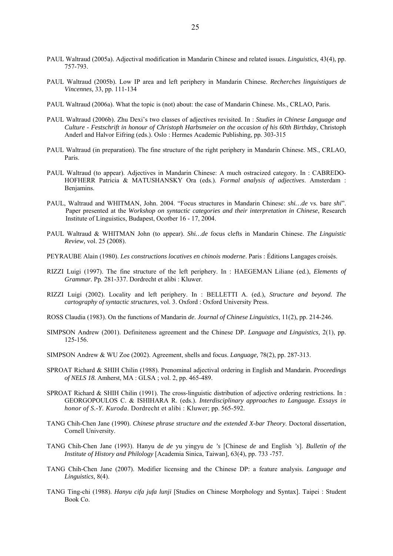- PAUL Waltraud (2005a). Adjectival modification in Mandarin Chinese and related issues. *Linguistics,* 43(4), pp. 757-793.
- PAUL Waltraud (2005b). Low IP area and left periphery in Mandarin Chinese. *Recherches linguistiques de Vincennes,* 33, pp. 111-134
- PAUL Waltraud (2006a). What the topic is (not) about: the case of Mandarin Chinese. Ms., CRLAO, Paris.
- PAUL Waltraud (2006b). Zhu Dexi's two classes of adjectives revisited. In : *Studies in Chinese Language and Culture - Festschrift in honour of Christoph Harbsmeier on the occasion of his 60th Birthday*, Christoph Anderl and Halvor Eifring (eds.). Oslo : Hermes Academic Publishing, pp. 303-315
- PAUL Waltraud (in preparation). The fine structure of the right periphery in Mandarin Chinese. MS., CRLAO, Paris.
- PAUL Waltraud (to appear). Adjectives in Mandarin Chinese: A much ostracized category. In : CABREDO-HOFHERR Patricia & MATUSHANSKY Ora (eds.). *Formal analysis of adjectives*. Amsterdam : Benjamins.
- PAUL, Waltraud and WHITMAN, John. 2004. "Focus structures in Mandarin Chinese: *shi…de* vs. bare *shi*". Paper presented at the *Workshop on syntactic categories and their interpretation in Chinese*, Research Institute of Linguistics, Budapest, Ocotber 16 - 17, 2004.
- PAUL Waltraud & WHITMAN John (to appear). *Shi…de* focus clefts in Mandarin Chinese. *The Linguistic Review,* vol. 25 (2008).
- PEYRAUBE Alain (1980). *Les constructions locatives en chinois moderne*. Paris : Éditions Langages croisés.
- RIZZI Luigi (1997). The fine structure of the left periphery. In : HAEGEMAN Liliane (ed.), *Elements of Grammar.* Pp. 281-337. Dordrecht et alibi : Kluwer.
- RIZZI Luigi (2002). Locality and left periphery. In : BELLETTI A. (ed.), *Structure and beyond. The cartography of syntactic structures*, vol. 3. Oxford : Oxford University Press.
- ROSS Claudia (1983). On the functions of Mandarin *de*. *Journal of Chinese Linguistics*, 11(2), pp. 214-246.
- SIMPSON Andrew (2001). Definiteness agreement and the Chinese DP. *Language and Linguistics,* 2(1), pp. 125-156.
- SIMPSON Andrew & WU Zoe (2002). Agreement, shells and focus. *Language,* 78(2), pp. 287-313.
- SPROAT Richard & SHIH Chilin (1988). Prenominal adjectival ordering in English and Mandarin. *Proceedings of NELS 18.* Amherst, MA : GLSA ; vol. 2, pp. 465-489.
- SPROAT Richard & SHIH Chilin (1991). The cross-linguistic distribution of adjective ordering restrictions. In : GEORGOPOULOS C. & ISHIHARA R. (eds.). *Interdisciplinary approaches to Language. Essays in honor of S.-Y. Kuroda*. Dordrecht et alibi : Kluwer; pp. 565-592.
- TANG Chih-Chen Jane (1990). *Chinese phrase structure and the extended X-bar Theory*. Doctoral dissertation, Cornell University.
- TANG Chih-Chen Jane (1993). Hanyu de *de* yu yingyu de *'s* [Chinese *de* and English *'s*]. *Bulletin of the Institute of History and Philology* [Academia Sinica, Taiwan], 63(4), pp. 733 -757.
- TANG Chih-Chen Jane (2007). Modifier licensing and the Chinese DP: a feature analysis. *Language and Linguistics,* 8(4).
- TANG Ting-chi (1988). *Hanyu cifa jufa lunji* [Studies on Chinese Morphology and Syntax]. Taipei : Student Book Co.